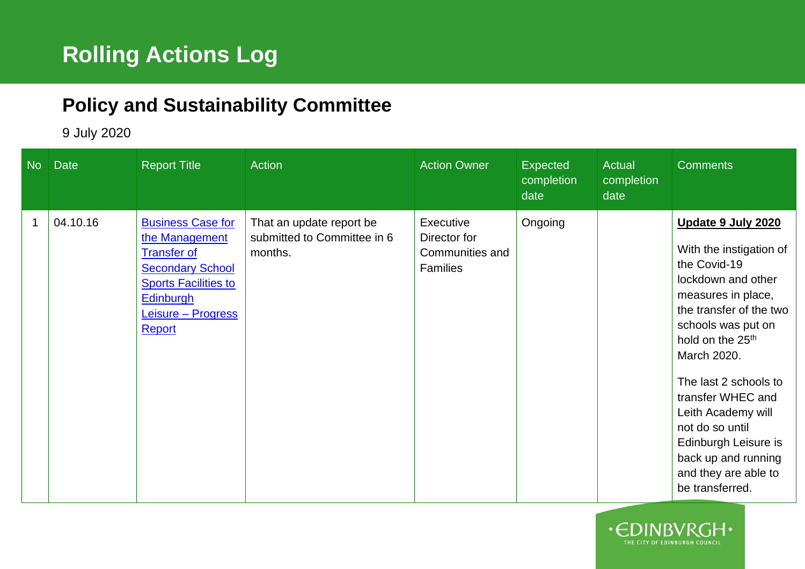## **Policy and Sustainability Committee**

## 9 July 2020

| No | <b>Date</b> | <b>Report Title</b>                                                                                                                                                     | <b>Action</b>                                                      | <b>Action Owner</b>                                             | Expected<br>completion<br>date | <b>Actual</b><br>completion<br>date | <b>Comments</b>                                                                                                                                                                                                                                                                                                                                                                            |
|----|-------------|-------------------------------------------------------------------------------------------------------------------------------------------------------------------------|--------------------------------------------------------------------|-----------------------------------------------------------------|--------------------------------|-------------------------------------|--------------------------------------------------------------------------------------------------------------------------------------------------------------------------------------------------------------------------------------------------------------------------------------------------------------------------------------------------------------------------------------------|
|    | 04.10.16    | <b>Business Case for</b><br>the Management<br><b>Transfer of</b><br><b>Secondary School</b><br><b>Sports Facilities to</b><br>Edinburgh<br>Leisure – Progress<br>Report | That an update report be<br>submitted to Committee in 6<br>months. | Executive<br>Director for<br>Communities and<br><b>Families</b> | Ongoing                        |                                     | Update 9 July 2020<br>With the instigation of<br>the Covid-19<br>lockdown and other<br>measures in place,<br>the transfer of the two<br>schools was put on<br>hold on the 25 <sup>th</sup><br>March 2020.<br>The last 2 schools to<br>transfer WHEC and<br>Leith Academy will<br>not do so until<br>Edinburgh Leisure is<br>back up and running<br>and they are able to<br>be transferred. |

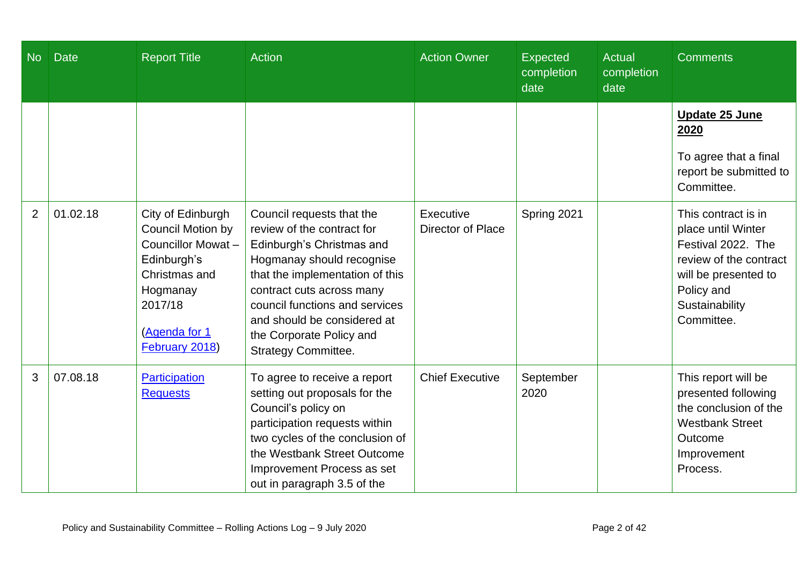| <b>No</b>      | Date     | <b>Report Title</b>                                                                                                                                          | <b>Action</b>                                                                                                                                                                                                                                                                                                | <b>Action Owner</b>                   | <b>Expected</b><br>completion<br>date | <b>Actual</b><br>completion<br>date | <b>Comments</b>                                                                                                                                                 |
|----------------|----------|--------------------------------------------------------------------------------------------------------------------------------------------------------------|--------------------------------------------------------------------------------------------------------------------------------------------------------------------------------------------------------------------------------------------------------------------------------------------------------------|---------------------------------------|---------------------------------------|-------------------------------------|-----------------------------------------------------------------------------------------------------------------------------------------------------------------|
|                |          |                                                                                                                                                              |                                                                                                                                                                                                                                                                                                              |                                       |                                       |                                     | <b>Update 25 June</b><br>2020<br>To agree that a final<br>report be submitted to<br>Committee.                                                                  |
| $\overline{2}$ | 01.02.18 | City of Edinburgh<br><b>Council Motion by</b><br>Councillor Mowat-<br>Edinburgh's<br>Christmas and<br>Hogmanay<br>2017/18<br>(Agenda for 1<br>February 2018) | Council requests that the<br>review of the contract for<br>Edinburgh's Christmas and<br>Hogmanay should recognise<br>that the implementation of this<br>contract cuts across many<br>council functions and services<br>and should be considered at<br>the Corporate Policy and<br><b>Strategy Committee.</b> | Executive<br><b>Director of Place</b> | Spring 2021                           |                                     | This contract is in<br>place until Winter<br>Festival 2022. The<br>review of the contract<br>will be presented to<br>Policy and<br>Sustainability<br>Committee. |
| 3              | 07.08.18 | Participation<br><b>Requests</b>                                                                                                                             | To agree to receive a report<br>setting out proposals for the<br>Council's policy on<br>participation requests within<br>two cycles of the conclusion of<br>the Westbank Street Outcome<br>Improvement Process as set<br>out in paragraph 3.5 of the                                                         | <b>Chief Executive</b>                | September<br>2020                     |                                     | This report will be<br>presented following<br>the conclusion of the<br><b>Westbank Street</b><br>Outcome<br>Improvement<br>Process.                             |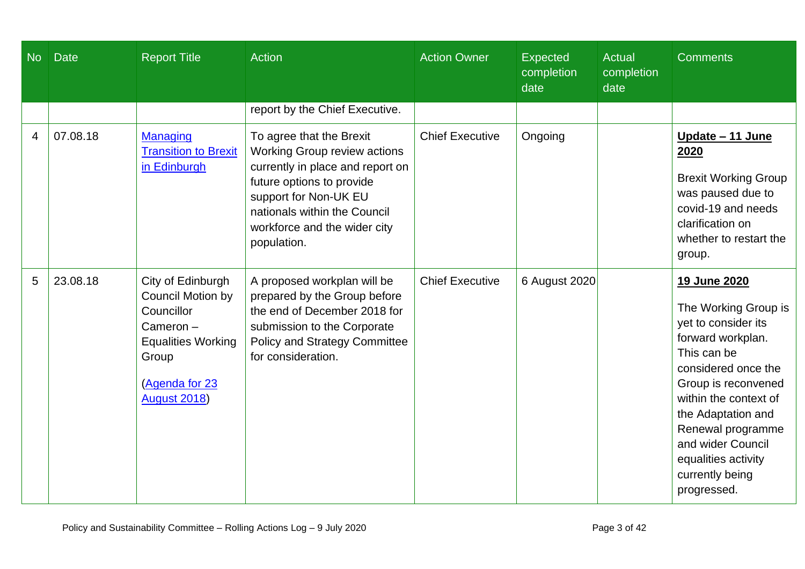| <b>No</b> | <b>Date</b> | <b>Report Title</b>                                                                                                                                     | Action                                                                                                                                                                                                                                   | <b>Action Owner</b>    | <b>Expected</b><br>completion<br>date | <b>Actual</b><br>completion<br>date | <b>Comments</b>                                                                                                                                                                                                                                                                                 |
|-----------|-------------|---------------------------------------------------------------------------------------------------------------------------------------------------------|------------------------------------------------------------------------------------------------------------------------------------------------------------------------------------------------------------------------------------------|------------------------|---------------------------------------|-------------------------------------|-------------------------------------------------------------------------------------------------------------------------------------------------------------------------------------------------------------------------------------------------------------------------------------------------|
|           |             |                                                                                                                                                         | report by the Chief Executive.                                                                                                                                                                                                           |                        |                                       |                                     |                                                                                                                                                                                                                                                                                                 |
| 4         | 07.08.18    | <b>Managing</b><br><b>Transition to Brexit</b><br>in Edinburgh                                                                                          | To agree that the Brexit<br><b>Working Group review actions</b><br>currently in place and report on<br>future options to provide<br>support for Non-UK EU<br>nationals within the Council<br>workforce and the wider city<br>population. | <b>Chief Executive</b> | Ongoing                               |                                     | <u> Update – 11 June</u><br>2020<br><b>Brexit Working Group</b><br>was paused due to<br>covid-19 and needs<br>clarification on<br>whether to restart the<br>group.                                                                                                                              |
| 5         | 23.08.18    | City of Edinburgh<br><b>Council Motion by</b><br>Councillor<br>Cameron-<br><b>Equalities Working</b><br>Group<br>(Agenda for 23<br><b>August 2018</b> ) | A proposed workplan will be<br>prepared by the Group before<br>the end of December 2018 for<br>submission to the Corporate<br><b>Policy and Strategy Committee</b><br>for consideration.                                                 | <b>Chief Executive</b> | 6 August 2020                         |                                     | 19 June 2020<br>The Working Group is<br>yet to consider its<br>forward workplan.<br>This can be<br>considered once the<br>Group is reconvened<br>within the context of<br>the Adaptation and<br>Renewal programme<br>and wider Council<br>equalities activity<br>currently being<br>progressed. |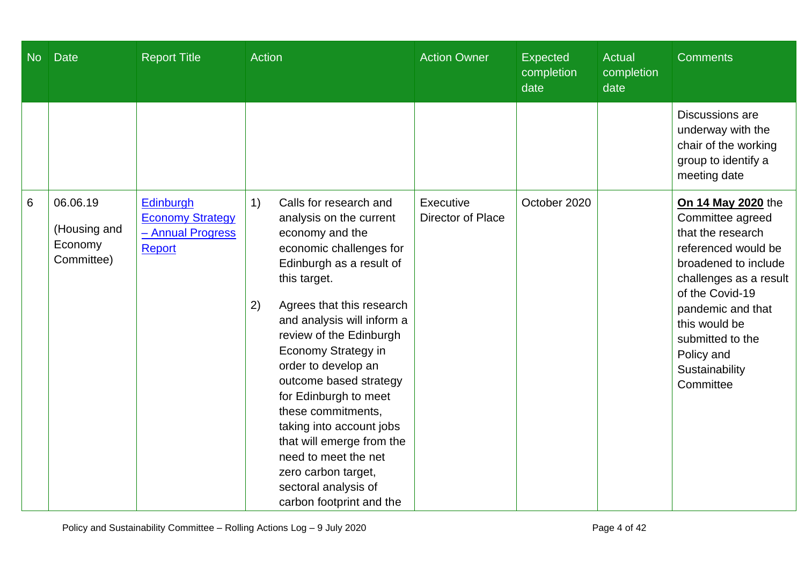| N <sub>o</sub> | <b>Date</b>                                       | <b>Report Title</b>                                                        | <b>Action</b>                                                                                                                                                                                                                                                                                                                                                                                                                                                                                                                           | <b>Action Owner</b>            | <b>Expected</b><br>completion<br>date | <b>Actual</b><br>completion<br>date | <b>Comments</b>                                                                                                                                                                                                                                                |
|----------------|---------------------------------------------------|----------------------------------------------------------------------------|-----------------------------------------------------------------------------------------------------------------------------------------------------------------------------------------------------------------------------------------------------------------------------------------------------------------------------------------------------------------------------------------------------------------------------------------------------------------------------------------------------------------------------------------|--------------------------------|---------------------------------------|-------------------------------------|----------------------------------------------------------------------------------------------------------------------------------------------------------------------------------------------------------------------------------------------------------------|
|                |                                                   |                                                                            |                                                                                                                                                                                                                                                                                                                                                                                                                                                                                                                                         |                                |                                       |                                     | Discussions are<br>underway with the<br>chair of the working<br>group to identify a<br>meeting date                                                                                                                                                            |
| 6              | 06.06.19<br>(Housing and<br>Economy<br>Committee) | Edinburgh<br><b>Economy Strategy</b><br>- Annual Progress<br><b>Report</b> | 1)<br>Calls for research and<br>analysis on the current<br>economy and the<br>economic challenges for<br>Edinburgh as a result of<br>this target.<br>Agrees that this research<br>2)<br>and analysis will inform a<br>review of the Edinburgh<br><b>Economy Strategy in</b><br>order to develop an<br>outcome based strategy<br>for Edinburgh to meet<br>these commitments,<br>taking into account jobs<br>that will emerge from the<br>need to meet the net<br>zero carbon target,<br>sectoral analysis of<br>carbon footprint and the | Executive<br>Director of Place | October 2020                          |                                     | On 14 May 2020 the<br>Committee agreed<br>that the research<br>referenced would be<br>broadened to include<br>challenges as a result<br>of the Covid-19<br>pandemic and that<br>this would be<br>submitted to the<br>Policy and<br>Sustainability<br>Committee |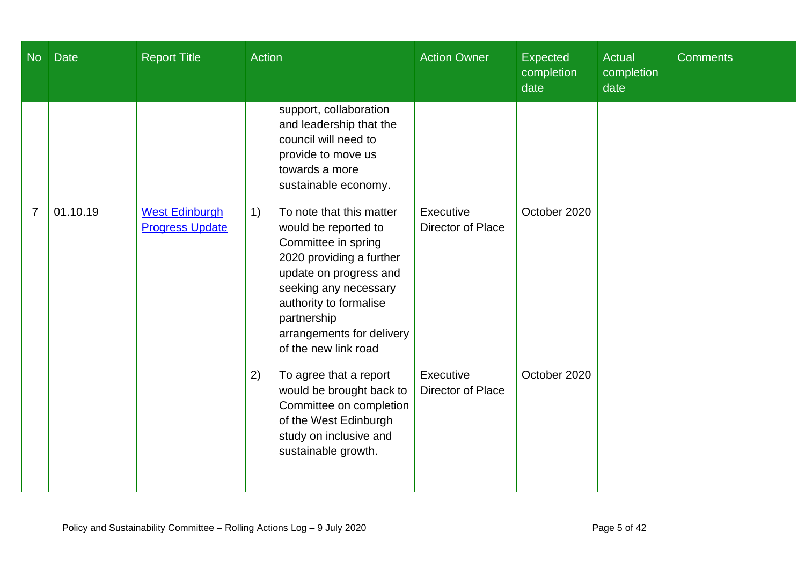| <b>No</b>      | <b>Date</b> | <b>Report Title</b>                             | <b>Action</b>                                                                                                                                                                                                                                              | <b>Action Owner</b>            | Expected<br>completion<br>date | <b>Actual</b><br>completion<br>date | <b>Comments</b> |
|----------------|-------------|-------------------------------------------------|------------------------------------------------------------------------------------------------------------------------------------------------------------------------------------------------------------------------------------------------------------|--------------------------------|--------------------------------|-------------------------------------|-----------------|
|                |             |                                                 | support, collaboration<br>and leadership that the<br>council will need to<br>provide to move us<br>towards a more<br>sustainable economy.                                                                                                                  |                                |                                |                                     |                 |
| $\overline{7}$ | 01.10.19    | <b>West Edinburgh</b><br><b>Progress Update</b> | To note that this matter<br>1)<br>would be reported to<br>Committee in spring<br>2020 providing a further<br>update on progress and<br>seeking any necessary<br>authority to formalise<br>partnership<br>arrangements for delivery<br>of the new link road | Executive<br>Director of Place | October 2020                   |                                     |                 |
|                |             |                                                 | 2)<br>To agree that a report<br>would be brought back to<br>Committee on completion<br>of the West Edinburgh<br>study on inclusive and<br>sustainable growth.                                                                                              | Executive<br>Director of Place | October 2020                   |                                     |                 |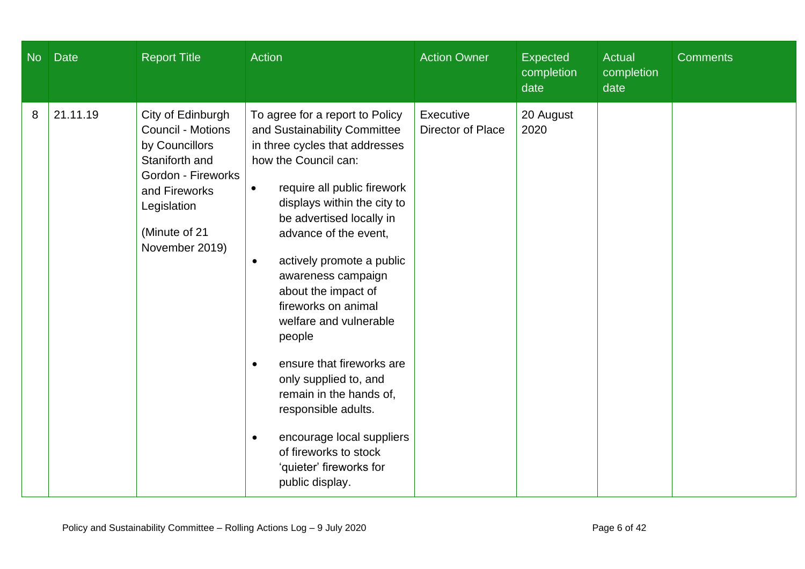| N <sub>o</sub> | <b>Date</b> | <b>Report Title</b>                                                                                                                                                 | Action                                                                                                                                                                                                                                                                                                                                                                                                                                                                                                                                                                                                                                            | <b>Action Owner</b>            | Expected<br>completion<br>date | <b>Actual</b><br>completion<br>date | <b>Comments</b> |
|----------------|-------------|---------------------------------------------------------------------------------------------------------------------------------------------------------------------|---------------------------------------------------------------------------------------------------------------------------------------------------------------------------------------------------------------------------------------------------------------------------------------------------------------------------------------------------------------------------------------------------------------------------------------------------------------------------------------------------------------------------------------------------------------------------------------------------------------------------------------------------|--------------------------------|--------------------------------|-------------------------------------|-----------------|
| 8              | 21.11.19    | City of Edinburgh<br>Council - Motions<br>by Councillors<br>Staniforth and<br>Gordon - Fireworks<br>and Fireworks<br>Legislation<br>(Minute of 21<br>November 2019) | To agree for a report to Policy<br>and Sustainability Committee<br>in three cycles that addresses<br>how the Council can:<br>require all public firework<br>$\bullet$<br>displays within the city to<br>be advertised locally in<br>advance of the event,<br>actively promote a public<br>$\bullet$<br>awareness campaign<br>about the impact of<br>fireworks on animal<br>welfare and vulnerable<br>people<br>ensure that fireworks are<br>$\bullet$<br>only supplied to, and<br>remain in the hands of,<br>responsible adults.<br>encourage local suppliers<br>$\bullet$<br>of fireworks to stock<br>'quieter' fireworks for<br>public display. | Executive<br>Director of Place | 20 August<br>2020              |                                     |                 |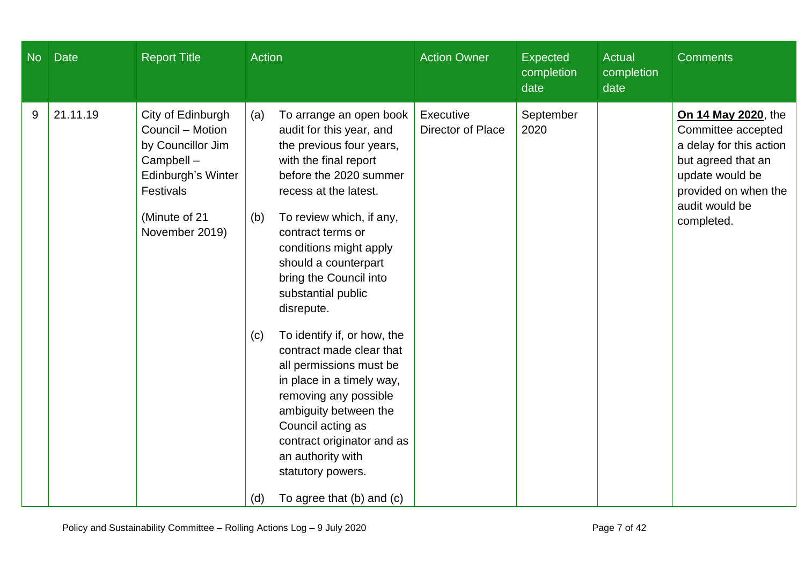| $\overline{\mathsf{No}}$ | <b>Date</b> | <b>Report Title</b>                                                                                                                           | <b>Action</b>                                                                                                                                                                                                                                                                                                                                                                                                                                                                                                                                                                                                       | <b>Action Owner</b>            | <b>Expected</b><br>completion<br>date | <b>Actual</b><br>completion<br>date | <b>Comments</b>                                                                                                                                                       |
|--------------------------|-------------|-----------------------------------------------------------------------------------------------------------------------------------------------|---------------------------------------------------------------------------------------------------------------------------------------------------------------------------------------------------------------------------------------------------------------------------------------------------------------------------------------------------------------------------------------------------------------------------------------------------------------------------------------------------------------------------------------------------------------------------------------------------------------------|--------------------------------|---------------------------------------|-------------------------------------|-----------------------------------------------------------------------------------------------------------------------------------------------------------------------|
| 9                        | 21.11.19    | City of Edinburgh<br>Council - Motion<br>by Councillor Jim<br>Campbell-<br>Edinburgh's Winter<br>Festivals<br>(Minute of 21<br>November 2019) | To arrange an open book<br>(a)<br>audit for this year, and<br>the previous four years,<br>with the final report<br>before the 2020 summer<br>recess at the latest.<br>To review which, if any,<br>(b)<br>contract terms or<br>conditions might apply<br>should a counterpart<br>bring the Council into<br>substantial public<br>disrepute.<br>To identify if, or how, the<br>(c)<br>contract made clear that<br>all permissions must be<br>in place in a timely way,<br>removing any possible<br>ambiguity between the<br>Council acting as<br>contract originator and as<br>an authority with<br>statutory powers. | Executive<br>Director of Place | September<br>2020                     |                                     | On 14 May 2020, the<br>Committee accepted<br>a delay for this action<br>but agreed that an<br>update would be<br>provided on when the<br>audit would be<br>completed. |
|                          |             |                                                                                                                                               | To agree that (b) and (c)<br>(d)                                                                                                                                                                                                                                                                                                                                                                                                                                                                                                                                                                                    |                                |                                       |                                     |                                                                                                                                                                       |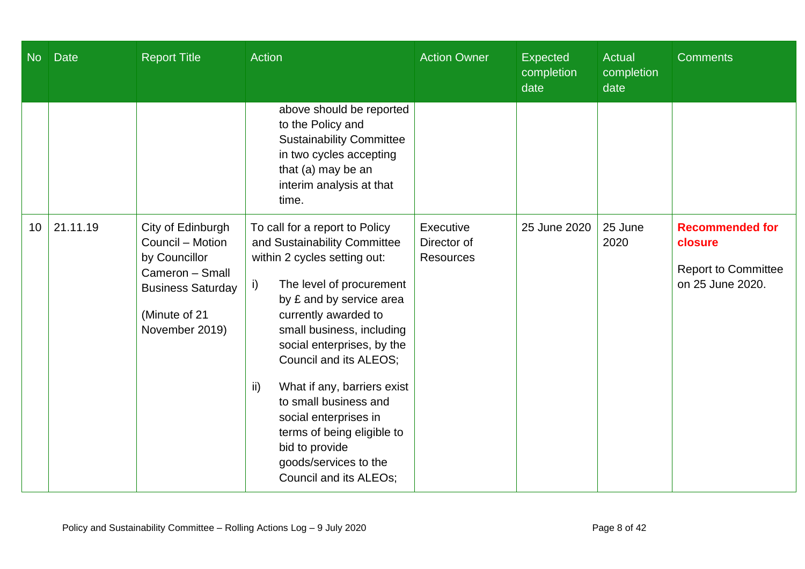| <b>No</b> | <b>Date</b> | <b>Report Title</b>                                                                                                                      | <b>Action</b>                                                                                                                                                                                                                                                                                                                                                                                                                                                        | <b>Action Owner</b>                          | <b>Expected</b><br>completion<br>date | <b>Actual</b><br>completion<br>date | <b>Comments</b>                                                                     |
|-----------|-------------|------------------------------------------------------------------------------------------------------------------------------------------|----------------------------------------------------------------------------------------------------------------------------------------------------------------------------------------------------------------------------------------------------------------------------------------------------------------------------------------------------------------------------------------------------------------------------------------------------------------------|----------------------------------------------|---------------------------------------|-------------------------------------|-------------------------------------------------------------------------------------|
|           |             |                                                                                                                                          | above should be reported<br>to the Policy and<br><b>Sustainability Committee</b><br>in two cycles accepting<br>that (a) may be an<br>interim analysis at that<br>time.                                                                                                                                                                                                                                                                                               |                                              |                                       |                                     |                                                                                     |
| 10        | 21.11.19    | City of Edinburgh<br>Council - Motion<br>by Councillor<br>Cameron - Small<br><b>Business Saturday</b><br>(Minute of 21<br>November 2019) | To call for a report to Policy<br>and Sustainability Committee<br>within 2 cycles setting out:<br>The level of procurement<br>i)<br>by £ and by service area<br>currently awarded to<br>small business, including<br>social enterprises, by the<br>Council and its ALEOS;<br>What if any, barriers exist<br>ii)<br>to small business and<br>social enterprises in<br>terms of being eligible to<br>bid to provide<br>goods/services to the<br>Council and its ALEOs; | Executive<br>Director of<br><b>Resources</b> | 25 June 2020                          | 25 June<br>2020                     | <b>Recommended for</b><br>closure<br><b>Report to Committee</b><br>on 25 June 2020. |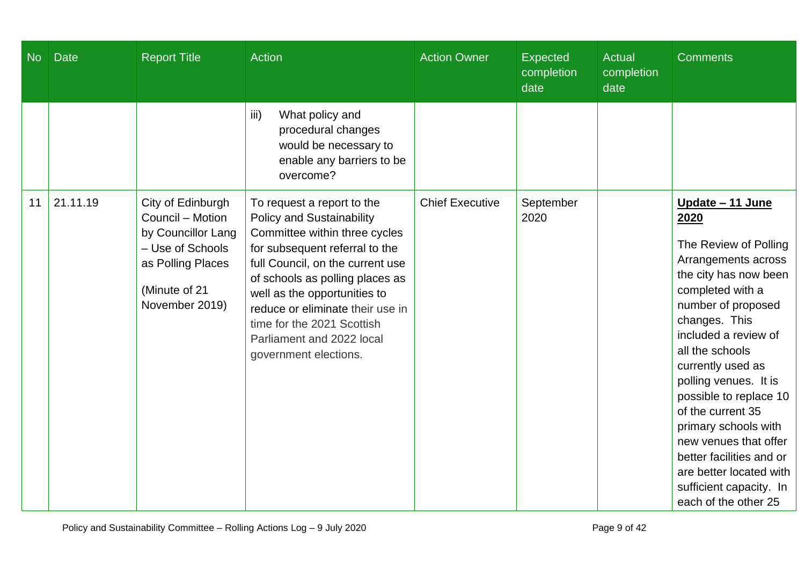| <b>No</b> | Date     | <b>Report Title</b>                                                                                                                     | <b>Action</b>                                                                                                                                                                                                                                                                                                                                                    | <b>Action Owner</b>    | <b>Expected</b><br>completion<br>date | <b>Actual</b><br>completion<br>date | <b>Comments</b>                                                                                                                                                                                                                                                                                                                                                                                                                                                 |
|-----------|----------|-----------------------------------------------------------------------------------------------------------------------------------------|------------------------------------------------------------------------------------------------------------------------------------------------------------------------------------------------------------------------------------------------------------------------------------------------------------------------------------------------------------------|------------------------|---------------------------------------|-------------------------------------|-----------------------------------------------------------------------------------------------------------------------------------------------------------------------------------------------------------------------------------------------------------------------------------------------------------------------------------------------------------------------------------------------------------------------------------------------------------------|
|           |          |                                                                                                                                         | iii)<br>What policy and<br>procedural changes<br>would be necessary to<br>enable any barriers to be<br>overcome?                                                                                                                                                                                                                                                 |                        |                                       |                                     |                                                                                                                                                                                                                                                                                                                                                                                                                                                                 |
| 11        | 21.11.19 | City of Edinburgh<br>Council - Motion<br>by Councillor Lang<br>- Use of Schools<br>as Polling Places<br>(Minute of 21<br>November 2019) | To request a report to the<br><b>Policy and Sustainability</b><br>Committee within three cycles<br>for subsequent referral to the<br>full Council, on the current use<br>of schools as polling places as<br>well as the opportunities to<br>reduce or eliminate their use in<br>time for the 2021 Scottish<br>Parliament and 2022 local<br>government elections. | <b>Chief Executive</b> | September<br>2020                     |                                     | Update - 11 June<br>2020<br>The Review of Polling<br>Arrangements across<br>the city has now been<br>completed with a<br>number of proposed<br>changes. This<br>included a review of<br>all the schools<br>currently used as<br>polling venues. It is<br>possible to replace 10<br>of the current 35<br>primary schools with<br>new venues that offer<br>better facilities and or<br>are better located with<br>sufficient capacity. In<br>each of the other 25 |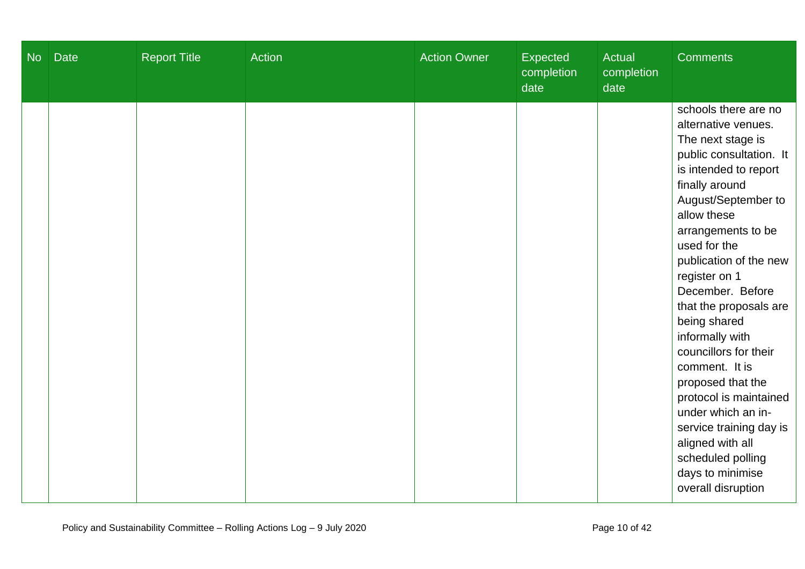| <b>No</b> | <b>Date</b> | <b>Report Title</b> | Action | <b>Action Owner</b> | Expected<br>completion<br>date | <b>Actual</b><br>completion<br>date | <b>Comments</b>                                                                                                                                                                                                                                                                                                                                                                                                                                                                                                                                                              |
|-----------|-------------|---------------------|--------|---------------------|--------------------------------|-------------------------------------|------------------------------------------------------------------------------------------------------------------------------------------------------------------------------------------------------------------------------------------------------------------------------------------------------------------------------------------------------------------------------------------------------------------------------------------------------------------------------------------------------------------------------------------------------------------------------|
|           |             |                     |        |                     |                                |                                     | schools there are no<br>alternative venues.<br>The next stage is<br>public consultation. It<br>is intended to report<br>finally around<br>August/September to<br>allow these<br>arrangements to be<br>used for the<br>publication of the new<br>register on 1<br>December. Before<br>that the proposals are<br>being shared<br>informally with<br>councillors for their<br>comment. It is<br>proposed that the<br>protocol is maintained<br>under which an in-<br>service training day is<br>aligned with all<br>scheduled polling<br>days to minimise<br>overall disruption |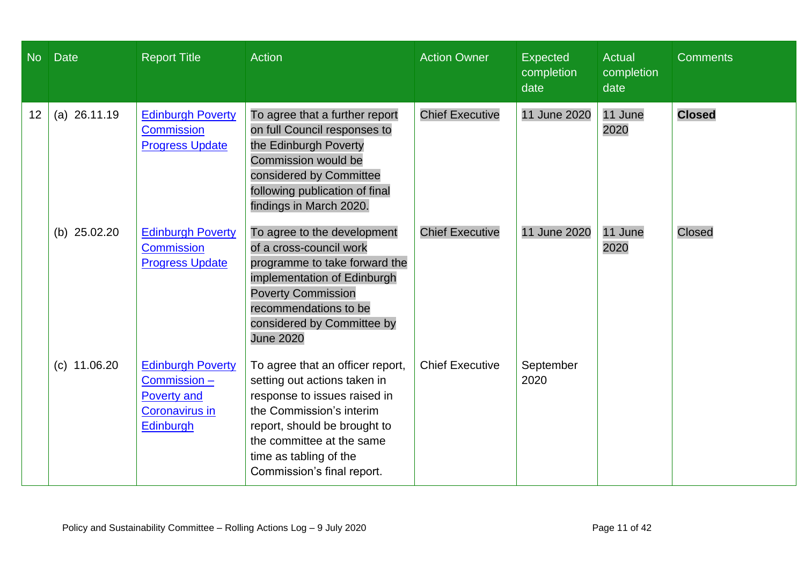| No | <b>Date</b>    | <b>Report Title</b>                                                                                 | <b>Action</b>                                                                                                                                                                                                                                     | <b>Action Owner</b>    | Expected<br>completion<br>date | <b>Actual</b><br>completion<br>date | <b>Comments</b> |
|----|----------------|-----------------------------------------------------------------------------------------------------|---------------------------------------------------------------------------------------------------------------------------------------------------------------------------------------------------------------------------------------------------|------------------------|--------------------------------|-------------------------------------|-----------------|
| 12 | $(a)$ 26.11.19 | <b>Edinburgh Poverty</b><br><b>Commission</b><br><b>Progress Update</b>                             | To agree that a further report<br>on full Council responses to<br>the Edinburgh Poverty<br>Commission would be<br>considered by Committee<br>following publication of final<br>findings in March 2020.                                            | <b>Chief Executive</b> | 11 June 2020                   | 11 June<br>2020                     | <b>Closed</b>   |
|    | (b) $25.02.20$ | <b>Edinburgh Poverty</b><br><b>Commission</b><br><b>Progress Update</b>                             | To agree to the development<br>of a cross-council work<br>programme to take forward the<br>implementation of Edinburgh<br><b>Poverty Commission</b><br>recommendations to be<br>considered by Committee by<br><b>June 2020</b>                    | <b>Chief Executive</b> | 11 June 2020                   | 11 June<br>2020                     | <b>Closed</b>   |
|    | $(c)$ 11.06.20 | <b>Edinburgh Poverty</b><br>Commission-<br><b>Poverty and</b><br><b>Coronavirus in</b><br>Edinburgh | To agree that an officer report,<br>setting out actions taken in<br>response to issues raised in<br>the Commission's interim<br>report, should be brought to<br>the committee at the same<br>time as tabling of the<br>Commission's final report. | <b>Chief Executive</b> | September<br>2020              |                                     |                 |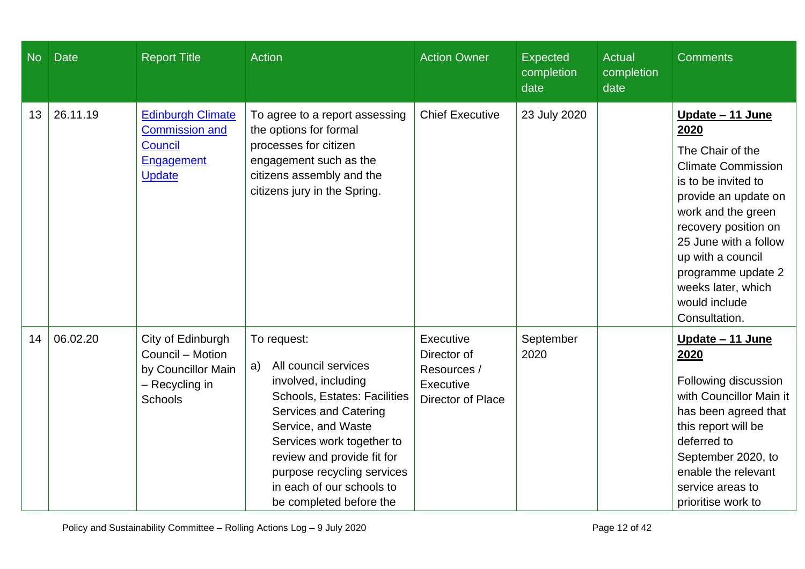| <b>No</b> | <b>Date</b> | <b>Report Title</b>                                                                                | <b>Action</b>                                                                                                                                                                                                                                                                                                  | <b>Action Owner</b>                                                       | <b>Expected</b><br>completion<br>date | <b>Actual</b><br>completion<br>date | <b>Comments</b>                                                                                                                                                                                                                                                                                    |
|-----------|-------------|----------------------------------------------------------------------------------------------------|----------------------------------------------------------------------------------------------------------------------------------------------------------------------------------------------------------------------------------------------------------------------------------------------------------------|---------------------------------------------------------------------------|---------------------------------------|-------------------------------------|----------------------------------------------------------------------------------------------------------------------------------------------------------------------------------------------------------------------------------------------------------------------------------------------------|
| 13        | 26.11.19    | <b>Edinburgh Climate</b><br><b>Commission and</b><br><b>Council</b><br>Engagement<br><b>Update</b> | To agree to a report assessing<br>the options for formal<br>processes for citizen<br>engagement such as the<br>citizens assembly and the<br>citizens jury in the Spring.                                                                                                                                       | <b>Chief Executive</b>                                                    | 23 July 2020                          |                                     | Update - 11 June<br>2020<br>The Chair of the<br><b>Climate Commission</b><br>is to be invited to<br>provide an update on<br>work and the green<br>recovery position on<br>25 June with a follow<br>up with a council<br>programme update 2<br>weeks later, which<br>would include<br>Consultation. |
| 14        | 06.02.20    | City of Edinburgh<br>Council - Motion<br>by Councillor Main<br>- Recycling in<br><b>Schools</b>    | To request:<br>All council services<br>a)<br>involved, including<br><b>Schools, Estates: Facilities</b><br><b>Services and Catering</b><br>Service, and Waste<br>Services work together to<br>review and provide fit for<br>purpose recycling services<br>in each of our schools to<br>be completed before the | Executive<br>Director of<br>Resources /<br>Executive<br>Director of Place | September<br>2020                     |                                     | <u> Update – 11 June</u><br>2020<br>Following discussion<br>with Councillor Main it<br>has been agreed that<br>this report will be<br>deferred to<br>September 2020, to<br>enable the relevant<br>service areas to<br>prioritise work to                                                           |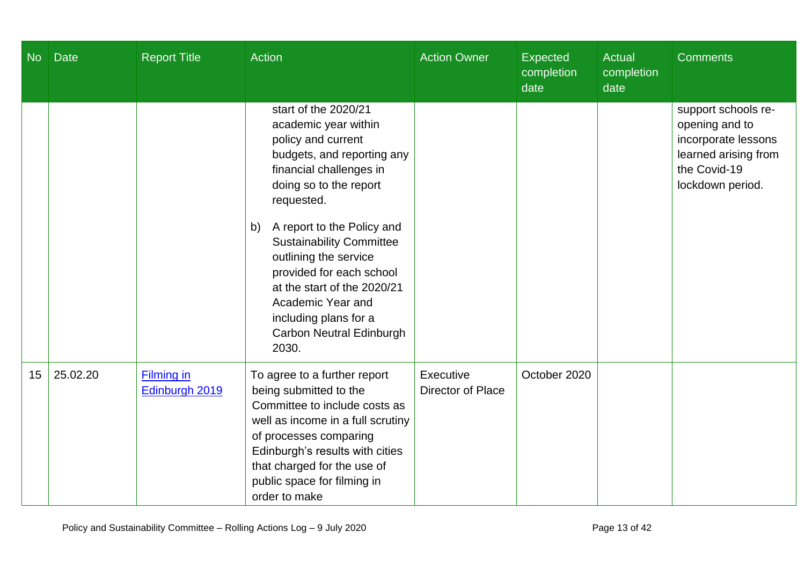| No | <b>Date</b> | <b>Report Title</b>          | Action                                                                                                                                                                                                                                                                                                                                                                                                          | <b>Action Owner</b>            | Expected<br>completion<br>date | <b>Actual</b><br>completion<br>date | <b>Comments</b>                                                                                                          |
|----|-------------|------------------------------|-----------------------------------------------------------------------------------------------------------------------------------------------------------------------------------------------------------------------------------------------------------------------------------------------------------------------------------------------------------------------------------------------------------------|--------------------------------|--------------------------------|-------------------------------------|--------------------------------------------------------------------------------------------------------------------------|
|    |             |                              | start of the 2020/21<br>academic year within<br>policy and current<br>budgets, and reporting any<br>financial challenges in<br>doing so to the report<br>requested.<br>A report to the Policy and<br>b)<br><b>Sustainability Committee</b><br>outlining the service<br>provided for each school<br>at the start of the 2020/21<br>Academic Year and<br>including plans for a<br><b>Carbon Neutral Edinburgh</b> |                                |                                |                                     | support schools re-<br>opening and to<br>incorporate lessons<br>learned arising from<br>the Covid-19<br>lockdown period. |
|    |             |                              | 2030.                                                                                                                                                                                                                                                                                                                                                                                                           |                                |                                |                                     |                                                                                                                          |
| 15 | 25.02.20    | Filming in<br>Edinburgh 2019 | To agree to a further report<br>being submitted to the<br>Committee to include costs as<br>well as income in a full scrutiny<br>of processes comparing<br>Edinburgh's results with cities<br>that charged for the use of<br>public space for filming in<br>order to make                                                                                                                                        | Executive<br>Director of Place | October 2020                   |                                     |                                                                                                                          |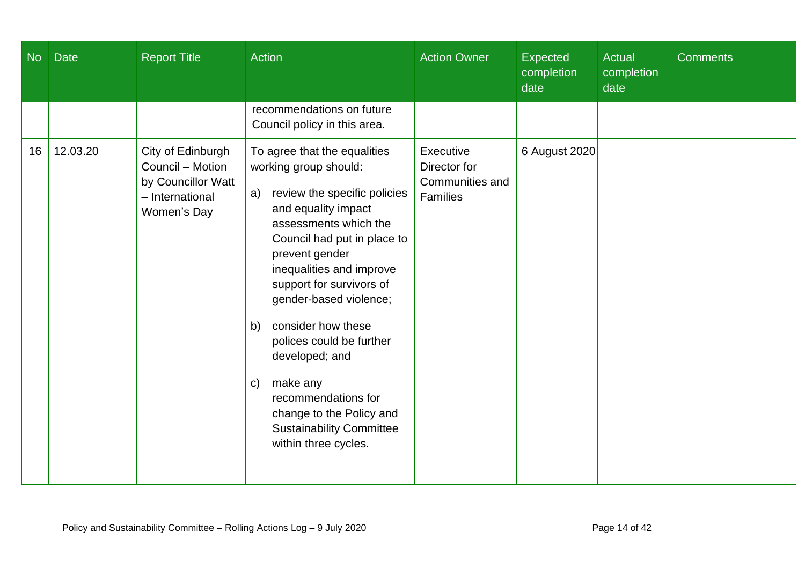| $N$ o | <b>Date</b> | <b>Report Title</b>                                                                           | Action                                                                                                                                                                                                                                                                                                                                                                                                                                                                                   | <b>Action Owner</b>                                      | Expected<br>completion<br>date | Actual<br>completion<br>date | <b>Comments</b> |
|-------|-------------|-----------------------------------------------------------------------------------------------|------------------------------------------------------------------------------------------------------------------------------------------------------------------------------------------------------------------------------------------------------------------------------------------------------------------------------------------------------------------------------------------------------------------------------------------------------------------------------------------|----------------------------------------------------------|--------------------------------|------------------------------|-----------------|
|       |             |                                                                                               | recommendations on future<br>Council policy in this area.                                                                                                                                                                                                                                                                                                                                                                                                                                |                                                          |                                |                              |                 |
| 16    | 12.03.20    | City of Edinburgh<br>Council - Motion<br>by Councillor Watt<br>- International<br>Women's Day | To agree that the equalities<br>working group should:<br>review the specific policies<br>a)<br>and equality impact<br>assessments which the<br>Council had put in place to<br>prevent gender<br>inequalities and improve<br>support for survivors of<br>gender-based violence;<br>consider how these<br>b)<br>polices could be further<br>developed; and<br>make any<br>C)<br>recommendations for<br>change to the Policy and<br><b>Sustainability Committee</b><br>within three cycles. | Executive<br>Director for<br>Communities and<br>Families | 6 August 2020                  |                              |                 |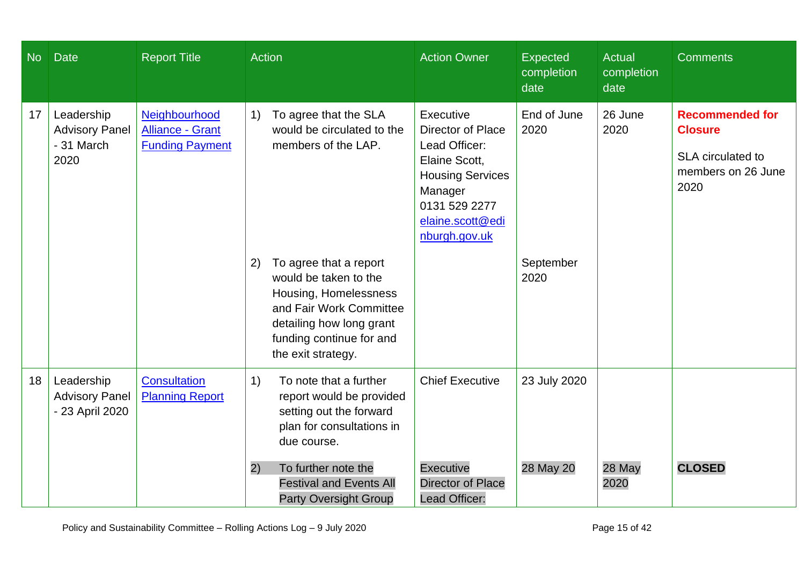| <b>No</b> | <b>Date</b>                                               | <b>Report Title</b>                                                | Action                                                                                                                                                                                  | <b>Action Owner</b>                                                                                                                                                 | <b>Expected</b><br>completion<br>date | <b>Actual</b><br>completion<br>date | <b>Comments</b>                                                                             |
|-----------|-----------------------------------------------------------|--------------------------------------------------------------------|-----------------------------------------------------------------------------------------------------------------------------------------------------------------------------------------|---------------------------------------------------------------------------------------------------------------------------------------------------------------------|---------------------------------------|-------------------------------------|---------------------------------------------------------------------------------------------|
| 17        | Leadership<br><b>Advisory Panel</b><br>- 31 March<br>2020 | Neighbourhood<br><b>Alliance - Grant</b><br><b>Funding Payment</b> | To agree that the SLA<br>1)<br>would be circulated to the<br>members of the LAP.                                                                                                        | Executive<br><b>Director of Place</b><br>Lead Officer:<br>Elaine Scott,<br><b>Housing Services</b><br>Manager<br>0131 529 2277<br>elaine.scott@edi<br>nburgh.gov.uk | End of June<br>2020                   | 26 June<br>2020                     | <b>Recommended for</b><br><b>Closure</b><br>SLA circulated to<br>members on 26 June<br>2020 |
|           |                                                           |                                                                    | To agree that a report<br>2)<br>would be taken to the<br>Housing, Homelessness<br>and Fair Work Committee<br>detailing how long grant<br>funding continue for and<br>the exit strategy. |                                                                                                                                                                     | September<br>2020                     |                                     |                                                                                             |
| 18        | Leadership<br><b>Advisory Panel</b><br>- 23 April 2020    | <b>Consultation</b><br><b>Planning Report</b>                      | To note that a further<br>1)<br>report would be provided<br>setting out the forward<br>plan for consultations in<br>due course.                                                         | <b>Chief Executive</b>                                                                                                                                              | 23 July 2020                          |                                     |                                                                                             |
|           |                                                           |                                                                    | To further note the<br>2)<br><b>Festival and Events All</b><br><b>Party Oversight Group</b>                                                                                             | <b>Executive</b><br><b>Director of Place</b><br>Lead Officer:                                                                                                       | 28 May 20                             | 28 May<br>2020                      | <b>CLOSED</b>                                                                               |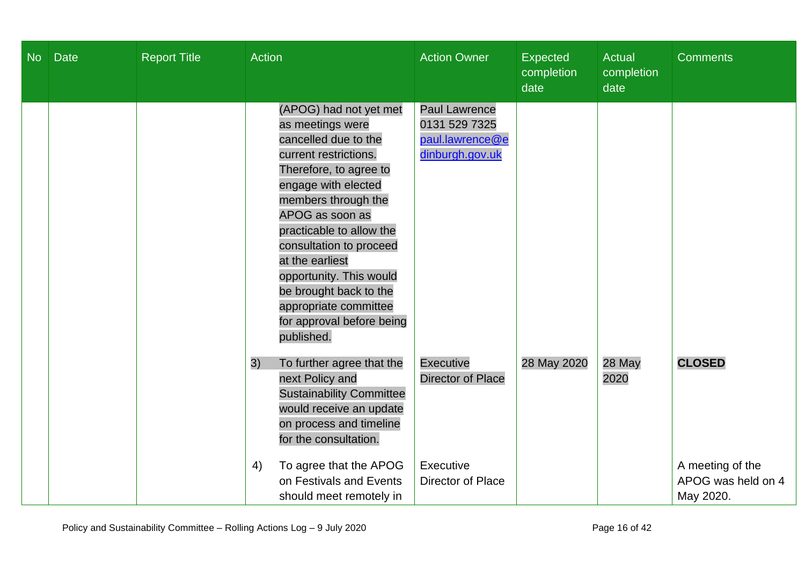| No | <b>Date</b> | <b>Report Title</b> | <b>Action</b>                                                                                                                                                                                                                                                                                                                                                                             | <b>Action Owner</b>                                                         | Expected<br>completion<br>date | Actual<br>completion<br>date | <b>Comments</b>                                     |
|----|-------------|---------------------|-------------------------------------------------------------------------------------------------------------------------------------------------------------------------------------------------------------------------------------------------------------------------------------------------------------------------------------------------------------------------------------------|-----------------------------------------------------------------------------|--------------------------------|------------------------------|-----------------------------------------------------|
|    |             |                     | (APOG) had not yet met<br>as meetings were<br>cancelled due to the<br>current restrictions.<br>Therefore, to agree to<br>engage with elected<br>members through the<br>APOG as soon as<br>practicable to allow the<br>consultation to proceed<br>at the earliest<br>opportunity. This would<br>be brought back to the<br>appropriate committee<br>for approval before being<br>published. | <b>Paul Lawrence</b><br>0131 529 7325<br>paul.lawrence@e<br>dinburgh.gov.uk |                                |                              |                                                     |
|    |             |                     | 3)<br>To further agree that the<br>next Policy and<br><b>Sustainability Committee</b><br>would receive an update<br>on process and timeline<br>for the consultation.                                                                                                                                                                                                                      | <b>Executive</b><br><b>Director of Place</b>                                | 28 May 2020                    | 28 May<br>2020               | <b>CLOSED</b>                                       |
|    |             |                     | To agree that the APOG<br>4)<br>on Festivals and Events<br>should meet remotely in                                                                                                                                                                                                                                                                                                        | Executive<br>Director of Place                                              |                                |                              | A meeting of the<br>APOG was held on 4<br>May 2020. |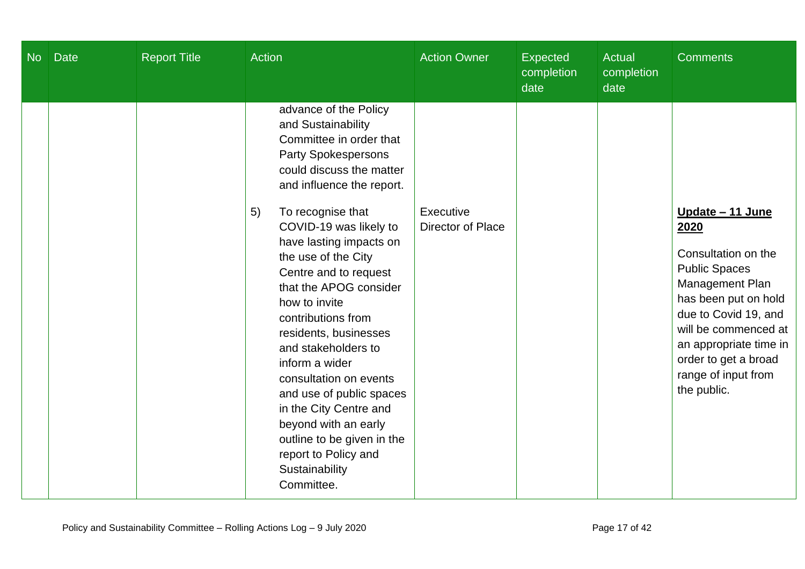| <b>No</b> | <b>Date</b> | <b>Report Title</b> | Action                                                                                                                                                                                                                                                                                                                                                                                                   | <b>Action Owner</b>            | <b>Expected</b><br>completion<br>date | <b>Actual</b><br>completion<br>date | <b>Comments</b>                                                                                                                                                                                                                |
|-----------|-------------|---------------------|----------------------------------------------------------------------------------------------------------------------------------------------------------------------------------------------------------------------------------------------------------------------------------------------------------------------------------------------------------------------------------------------------------|--------------------------------|---------------------------------------|-------------------------------------|--------------------------------------------------------------------------------------------------------------------------------------------------------------------------------------------------------------------------------|
|           |             |                     | advance of the Policy<br>and Sustainability<br>Committee in order that<br><b>Party Spokespersons</b><br>could discuss the matter<br>and influence the report.<br>To recognise that<br>5)<br>COVID-19 was likely to                                                                                                                                                                                       | Executive<br>Director of Place |                                       |                                     | Update - 11 June<br>2020                                                                                                                                                                                                       |
|           |             |                     | have lasting impacts on<br>the use of the City<br>Centre and to request<br>that the APOG consider<br>how to invite<br>contributions from<br>residents, businesses<br>and stakeholders to<br>inform a wider<br>consultation on events<br>and use of public spaces<br>in the City Centre and<br>beyond with an early<br>outline to be given in the<br>report to Policy and<br>Sustainability<br>Committee. |                                |                                       |                                     | Consultation on the<br><b>Public Spaces</b><br>Management Plan<br>has been put on hold<br>due to Covid 19, and<br>will be commenced at<br>an appropriate time in<br>order to get a broad<br>range of input from<br>the public. |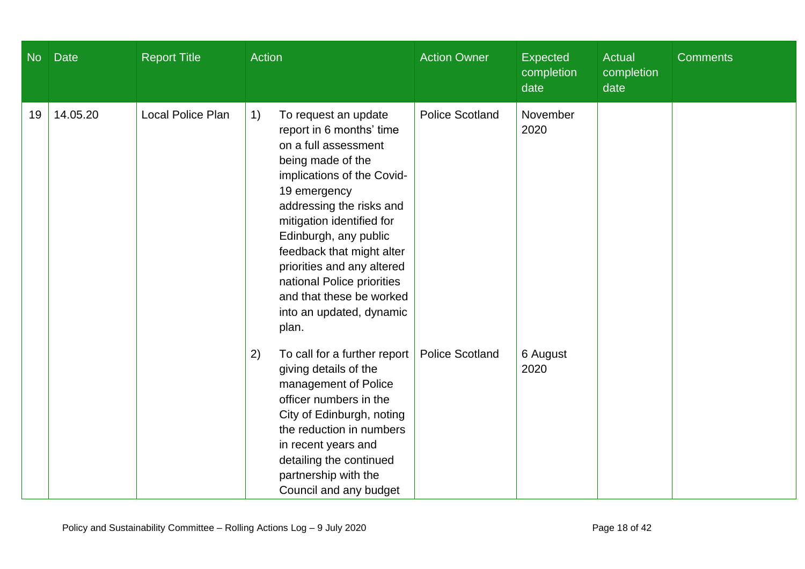| <b>No</b> | <b>Date</b> | <b>Report Title</b>      | <b>Action</b>                                                                                                                                                                                                                                                                                                                                                                                 | <b>Action Owner</b>    | <b>Expected</b><br>completion<br>date | Actual<br>completion<br>date | <b>Comments</b> |
|-----------|-------------|--------------------------|-----------------------------------------------------------------------------------------------------------------------------------------------------------------------------------------------------------------------------------------------------------------------------------------------------------------------------------------------------------------------------------------------|------------------------|---------------------------------------|------------------------------|-----------------|
| 19        | 14.05.20    | <b>Local Police Plan</b> | 1)<br>To request an update<br>report in 6 months' time<br>on a full assessment<br>being made of the<br>implications of the Covid-<br>19 emergency<br>addressing the risks and<br>mitigation identified for<br>Edinburgh, any public<br>feedback that might alter<br>priorities and any altered<br>national Police priorities<br>and that these be worked<br>into an updated, dynamic<br>plan. | <b>Police Scotland</b> | November<br>2020                      |                              |                 |
|           |             |                          | To call for a further report<br>2)<br>giving details of the<br>management of Police<br>officer numbers in the<br>City of Edinburgh, noting<br>the reduction in numbers<br>in recent years and<br>detailing the continued<br>partnership with the<br>Council and any budget                                                                                                                    | <b>Police Scotland</b> | 6 August<br>2020                      |                              |                 |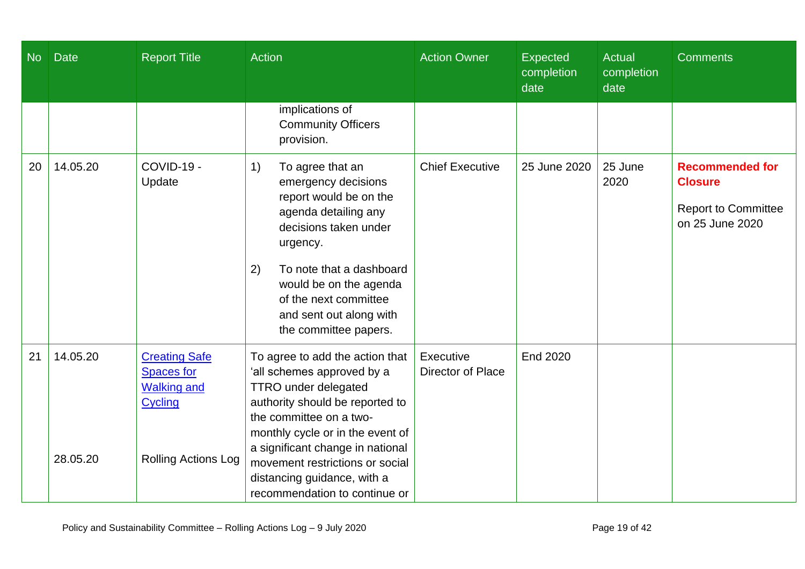| <b>No</b> | <b>Date</b>          | <b>Report Title</b>                                                                                      | Action                                                                                                                                                                                                                                                                                                                                | <b>Action Owner</b>            | <b>Expected</b><br>completion<br>date | Actual<br>completion<br>date | <b>Comments</b>                                                                           |
|-----------|----------------------|----------------------------------------------------------------------------------------------------------|---------------------------------------------------------------------------------------------------------------------------------------------------------------------------------------------------------------------------------------------------------------------------------------------------------------------------------------|--------------------------------|---------------------------------------|------------------------------|-------------------------------------------------------------------------------------------|
|           |                      |                                                                                                          | implications of<br><b>Community Officers</b><br>provision.                                                                                                                                                                                                                                                                            |                                |                                       |                              |                                                                                           |
| 20        | 14.05.20             | COVID-19 -<br>Update                                                                                     | To agree that an<br>1)<br>emergency decisions<br>report would be on the<br>agenda detailing any<br>decisions taken under<br>urgency.<br>2)<br>To note that a dashboard<br>would be on the agenda<br>of the next committee<br>and sent out along with<br>the committee papers.                                                         | <b>Chief Executive</b>         | 25 June 2020                          | 25 June<br>2020              | <b>Recommended for</b><br><b>Closure</b><br><b>Report to Committee</b><br>on 25 June 2020 |
| 21        | 14.05.20<br>28.05.20 | <b>Creating Safe</b><br><b>Spaces for</b><br><b>Walking and</b><br>Cycling<br><b>Rolling Actions Log</b> | To agree to add the action that<br>'all schemes approved by a<br><b>TTRO</b> under delegated<br>authority should be reported to<br>the committee on a two-<br>monthly cycle or in the event of<br>a significant change in national<br>movement restrictions or social<br>distancing guidance, with a<br>recommendation to continue or | Executive<br>Director of Place | <b>End 2020</b>                       |                              |                                                                                           |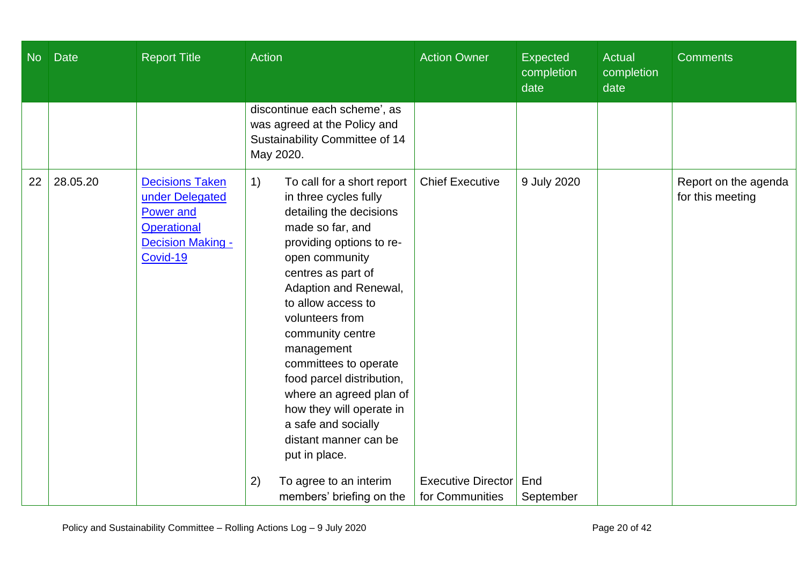| No | <b>Date</b> | <b>Report Title</b>                                                                                                         | Action                                                                                                                                                                                                                                                                                                                                                                                                                                                                                          | <b>Action Owner</b>                                 | <b>Expected</b><br>completion<br>date | <b>Actual</b><br>completion<br>date | <b>Comments</b>                          |
|----|-------------|-----------------------------------------------------------------------------------------------------------------------------|-------------------------------------------------------------------------------------------------------------------------------------------------------------------------------------------------------------------------------------------------------------------------------------------------------------------------------------------------------------------------------------------------------------------------------------------------------------------------------------------------|-----------------------------------------------------|---------------------------------------|-------------------------------------|------------------------------------------|
|    |             |                                                                                                                             | discontinue each scheme', as<br>was agreed at the Policy and<br>Sustainability Committee of 14<br>May 2020.                                                                                                                                                                                                                                                                                                                                                                                     |                                                     |                                       |                                     |                                          |
| 22 | 28.05.20    | <b>Decisions Taken</b><br>under Delegated<br><b>Power and</b><br><b>Operational</b><br><b>Decision Making -</b><br>Covid-19 | 1)<br>To call for a short report<br>in three cycles fully<br>detailing the decisions<br>made so far, and<br>providing options to re-<br>open community<br>centres as part of<br>Adaption and Renewal,<br>to allow access to<br>volunteers from<br>community centre<br>management<br>committees to operate<br>food parcel distribution,<br>where an agreed plan of<br>how they will operate in<br>a safe and socially<br>distant manner can be<br>put in place.<br>(2)<br>To agree to an interim | <b>Chief Executive</b><br><b>Executive Director</b> | 9 July 2020<br>End                    |                                     | Report on the agenda<br>for this meeting |
|    |             |                                                                                                                             | members' briefing on the                                                                                                                                                                                                                                                                                                                                                                                                                                                                        | for Communities                                     | September                             |                                     |                                          |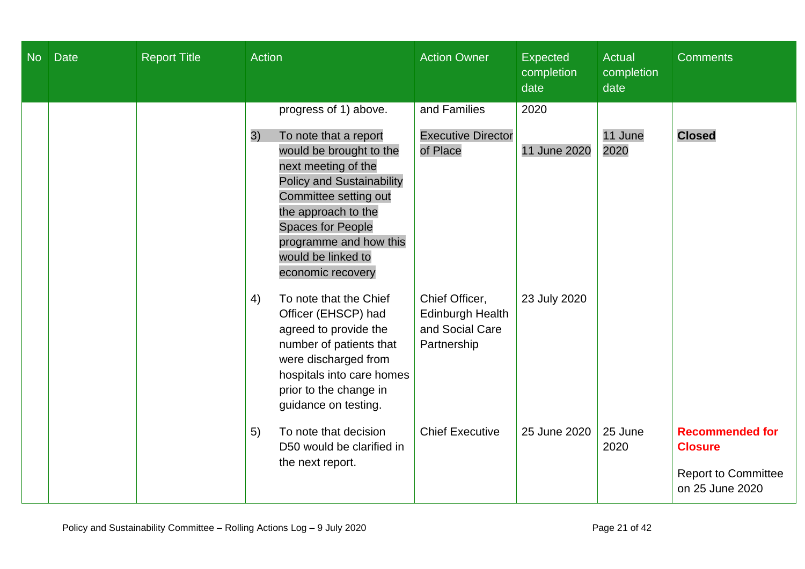| <b>No</b> | <b>Date</b> | <b>Report Title</b> | <b>Action</b>                                                                                                                                                                                                                                                                               | <b>Action Owner</b>                                                  | <b>Expected</b><br>completion<br>date | <b>Actual</b><br>completion<br>date | <b>Comments</b>                                                                           |
|-----------|-------------|---------------------|---------------------------------------------------------------------------------------------------------------------------------------------------------------------------------------------------------------------------------------------------------------------------------------------|----------------------------------------------------------------------|---------------------------------------|-------------------------------------|-------------------------------------------------------------------------------------------|
|           |             |                     | progress of 1) above.<br>To note that a report<br>3)<br>would be brought to the<br>next meeting of the<br><b>Policy and Sustainability</b><br>Committee setting out<br>the approach to the<br><b>Spaces for People</b><br>programme and how this<br>would be linked to<br>economic recovery | and Families<br><b>Executive Director</b><br>of Place                | 2020<br>11 June 2020                  | 11 June<br>2020                     | <b>Closed</b>                                                                             |
|           |             |                     | To note that the Chief<br>4)<br>Officer (EHSCP) had<br>agreed to provide the<br>number of patients that<br>were discharged from<br>hospitals into care homes<br>prior to the change in<br>guidance on testing.                                                                              | Chief Officer,<br>Edinburgh Health<br>and Social Care<br>Partnership | 23 July 2020                          |                                     |                                                                                           |
|           |             |                     | To note that decision<br>5)<br>D50 would be clarified in<br>the next report.                                                                                                                                                                                                                | <b>Chief Executive</b>                                               | 25 June 2020                          | 25 June<br>2020                     | <b>Recommended for</b><br><b>Closure</b><br><b>Report to Committee</b><br>on 25 June 2020 |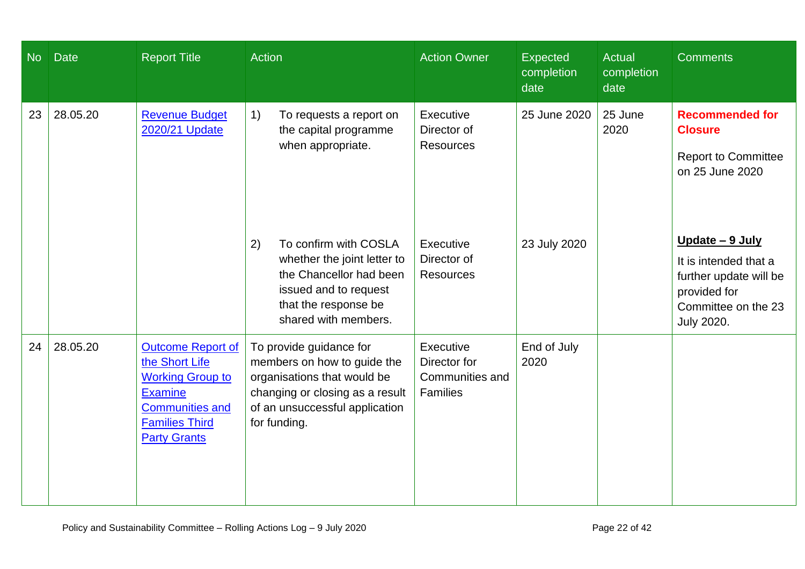| <b>No</b> | <b>Date</b> | <b>Report Title</b>                                                                                                                                               | <b>Action</b>                                                                                                                                                              | <b>Action Owner</b>                                             | <b>Expected</b><br>completion<br>date | <b>Actual</b><br>completion<br>date | <b>Comments</b>                                                                                                                |
|-----------|-------------|-------------------------------------------------------------------------------------------------------------------------------------------------------------------|----------------------------------------------------------------------------------------------------------------------------------------------------------------------------|-----------------------------------------------------------------|---------------------------------------|-------------------------------------|--------------------------------------------------------------------------------------------------------------------------------|
| 23        | 28.05.20    | <b>Revenue Budget</b><br>2020/21 Update                                                                                                                           | 1)<br>To requests a report on<br>the capital programme<br>when appropriate.                                                                                                | Executive<br>Director of<br><b>Resources</b>                    | 25 June 2020                          | 25 June<br>2020                     | <b>Recommended for</b><br><b>Closure</b><br><b>Report to Committee</b><br>on 25 June 2020                                      |
|           |             |                                                                                                                                                                   | To confirm with COSLA<br>2)<br>whether the joint letter to<br>the Chancellor had been<br>issued and to request<br>that the response be<br>shared with members.             | Executive<br>Director of<br><b>Resources</b>                    | 23 July 2020                          |                                     | Update - 9 July<br>It is intended that a<br>further update will be<br>provided for<br>Committee on the 23<br><b>July 2020.</b> |
| 24        | 28.05.20    | <b>Outcome Report of</b><br>the Short Life<br><b>Working Group to</b><br><b>Examine</b><br><b>Communities and</b><br><b>Families Third</b><br><b>Party Grants</b> | To provide guidance for<br>members on how to guide the<br>organisations that would be<br>changing or closing as a result<br>of an unsuccessful application<br>for funding. | Executive<br>Director for<br>Communities and<br><b>Families</b> | End of July<br>2020                   |                                     |                                                                                                                                |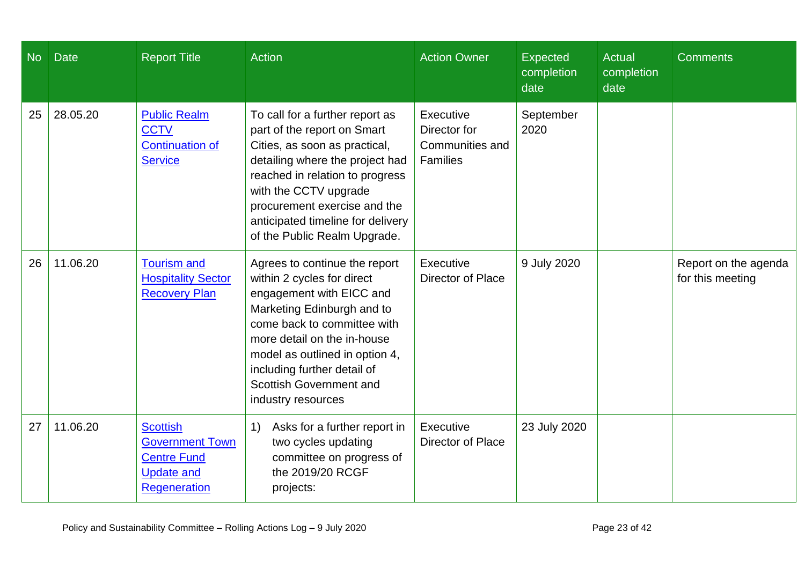| <b>No</b> | <b>Date</b> | <b>Report Title</b>                                                                                  | Action                                                                                                                                                                                                                                                                                                       | <b>Action Owner</b>                                                    | <b>Expected</b><br>completion<br>date | <b>Actual</b><br>completion<br>date | <b>Comments</b>                          |
|-----------|-------------|------------------------------------------------------------------------------------------------------|--------------------------------------------------------------------------------------------------------------------------------------------------------------------------------------------------------------------------------------------------------------------------------------------------------------|------------------------------------------------------------------------|---------------------------------------|-------------------------------------|------------------------------------------|
| 25        | 28.05.20    | <b>Public Realm</b><br><b>CCTV</b><br><b>Continuation of</b><br><b>Service</b>                       | To call for a further report as<br>part of the report on Smart<br>Cities, as soon as practical,<br>detailing where the project had<br>reached in relation to progress<br>with the CCTV upgrade<br>procurement exercise and the<br>anticipated timeline for delivery<br>of the Public Realm Upgrade.          | Executive<br>Director for<br><b>Communities and</b><br><b>Families</b> | September<br>2020                     |                                     |                                          |
| 26        | 11.06.20    | <b>Tourism and</b><br><b>Hospitality Sector</b><br><b>Recovery Plan</b>                              | Agrees to continue the report<br>within 2 cycles for direct<br>engagement with EICC and<br>Marketing Edinburgh and to<br>come back to committee with<br>more detail on the in-house<br>model as outlined in option 4,<br>including further detail of<br><b>Scottish Government and</b><br>industry resources | Executive<br><b>Director of Place</b>                                  | 9 July 2020                           |                                     | Report on the agenda<br>for this meeting |
| 27        | 11.06.20    | <b>Scottish</b><br><b>Government Town</b><br><b>Centre Fund</b><br><b>Update and</b><br>Regeneration | 1)<br>Asks for a further report in<br>two cycles updating<br>committee on progress of<br>the 2019/20 RCGF<br>projects:                                                                                                                                                                                       | Executive<br>Director of Place                                         | 23 July 2020                          |                                     |                                          |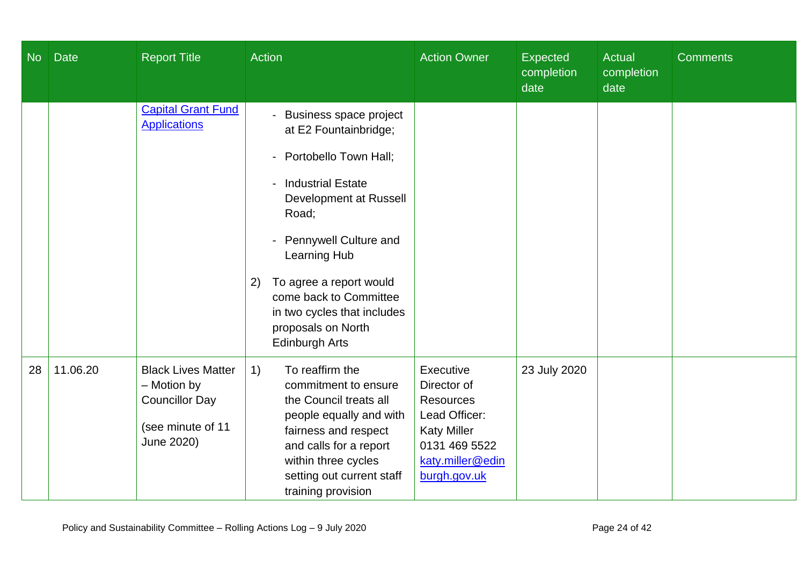| <b>No</b> | <b>Date</b> | <b>Report Title</b>                                                                                  | Action                                                                                                                                                                                                                                                                                                                                                                      | <b>Action Owner</b>                                                                                                                      | <b>Expected</b><br>completion<br>date | Actual<br>completion<br>date | <b>Comments</b> |
|-----------|-------------|------------------------------------------------------------------------------------------------------|-----------------------------------------------------------------------------------------------------------------------------------------------------------------------------------------------------------------------------------------------------------------------------------------------------------------------------------------------------------------------------|------------------------------------------------------------------------------------------------------------------------------------------|---------------------------------------|------------------------------|-----------------|
|           |             | <b>Capital Grant Fund</b><br><b>Applications</b>                                                     | <b>Business space project</b><br>$\blacksquare$<br>at E2 Fountainbridge;<br>Portobello Town Hall;<br><b>Industrial Estate</b><br>$\blacksquare$<br>Development at Russell<br>Road;<br><b>Pennywell Culture and</b><br>Learning Hub<br>To agree a report would<br>2)<br>come back to Committee<br>in two cycles that includes<br>proposals on North<br><b>Edinburgh Arts</b> |                                                                                                                                          |                                       |                              |                 |
| 28        | 11.06.20    | <b>Black Lives Matter</b><br>- Motion by<br><b>Councillor Day</b><br>(see minute of 11<br>June 2020) | To reaffirm the<br>1)<br>commitment to ensure<br>the Council treats all<br>people equally and with<br>fairness and respect<br>and calls for a report<br>within three cycles<br>setting out current staff<br>training provision                                                                                                                                              | Executive<br>Director of<br><b>Resources</b><br>Lead Officer:<br><b>Katy Miller</b><br>0131 469 5522<br>katy.miller@edin<br>burgh.gov.uk | 23 July 2020                          |                              |                 |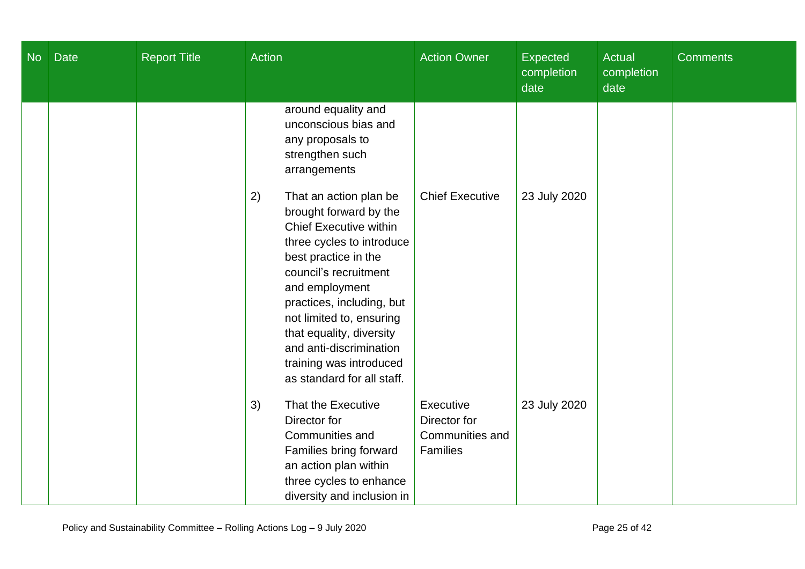| <b>No</b> | <b>Date</b> | <b>Report Title</b> | <b>Action</b>                                                                                                                                                                                                                                                                                                                                                    | <b>Action Owner</b>                                             | <b>Expected</b><br>completion<br>date | <b>Actual</b><br>completion<br>date | <b>Comments</b> |
|-----------|-------------|---------------------|------------------------------------------------------------------------------------------------------------------------------------------------------------------------------------------------------------------------------------------------------------------------------------------------------------------------------------------------------------------|-----------------------------------------------------------------|---------------------------------------|-------------------------------------|-----------------|
|           |             |                     | around equality and<br>unconscious bias and<br>any proposals to<br>strengthen such<br>arrangements                                                                                                                                                                                                                                                               |                                                                 |                                       |                                     |                 |
|           |             |                     | 2)<br>That an action plan be<br>brought forward by the<br><b>Chief Executive within</b><br>three cycles to introduce<br>best practice in the<br>council's recruitment<br>and employment<br>practices, including, but<br>not limited to, ensuring<br>that equality, diversity<br>and anti-discrimination<br>training was introduced<br>as standard for all staff. | <b>Chief Executive</b>                                          | 23 July 2020                          |                                     |                 |
|           |             |                     | That the Executive<br>3)<br>Director for<br>Communities and<br>Families bring forward<br>an action plan within<br>three cycles to enhance<br>diversity and inclusion in                                                                                                                                                                                          | Executive<br>Director for<br>Communities and<br><b>Families</b> | 23 July 2020                          |                                     |                 |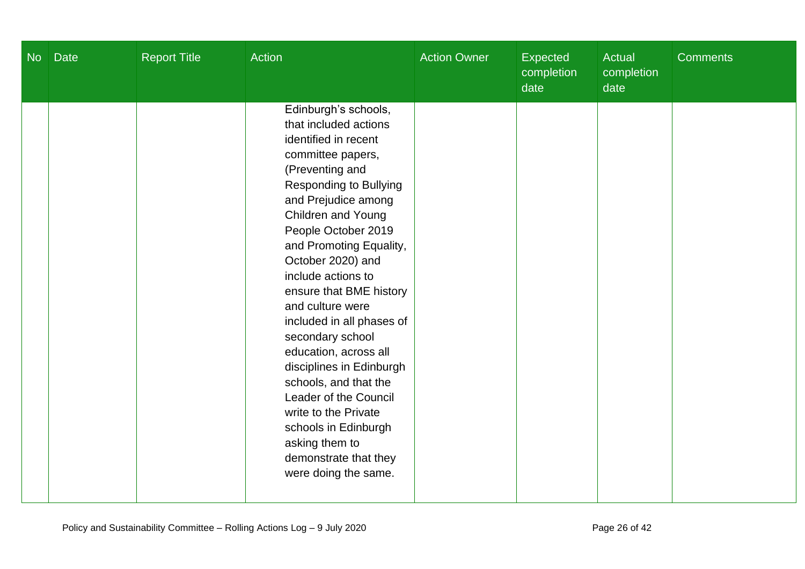| <b>No</b> | <b>Date</b> | <b>Report Title</b> | <b>Action</b>                                                                                                                                                                                                                                                                                                                                                                                                                                                                                                                                                                                                      | <b>Action Owner</b> | <b>Expected</b><br>completion<br>date | Actual<br>completion<br>date | <b>Comments</b> |
|-----------|-------------|---------------------|--------------------------------------------------------------------------------------------------------------------------------------------------------------------------------------------------------------------------------------------------------------------------------------------------------------------------------------------------------------------------------------------------------------------------------------------------------------------------------------------------------------------------------------------------------------------------------------------------------------------|---------------------|---------------------------------------|------------------------------|-----------------|
|           |             |                     | Edinburgh's schools,<br>that included actions<br>identified in recent<br>committee papers,<br>(Preventing and<br><b>Responding to Bullying</b><br>and Prejudice among<br>Children and Young<br>People October 2019<br>and Promoting Equality,<br>October 2020) and<br>include actions to<br>ensure that BME history<br>and culture were<br>included in all phases of<br>secondary school<br>education, across all<br>disciplines in Edinburgh<br>schools, and that the<br>Leader of the Council<br>write to the Private<br>schools in Edinburgh<br>asking them to<br>demonstrate that they<br>were doing the same. |                     |                                       |                              |                 |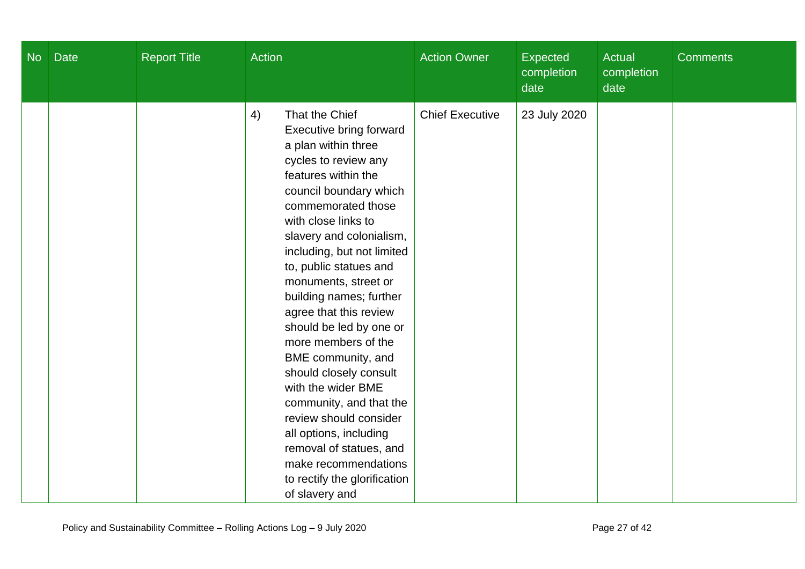| <b>No</b> | <b>Date</b> | <b>Report Title</b> | <b>Action</b>                                                                                                                                                                                                                                                                                                                                                                                                                                                                                                                                                                                                                                                             | <b>Action Owner</b>    | <b>Expected</b><br>completion<br>date | Actual<br>completion<br>date | <b>Comments</b> |
|-----------|-------------|---------------------|---------------------------------------------------------------------------------------------------------------------------------------------------------------------------------------------------------------------------------------------------------------------------------------------------------------------------------------------------------------------------------------------------------------------------------------------------------------------------------------------------------------------------------------------------------------------------------------------------------------------------------------------------------------------------|------------------------|---------------------------------------|------------------------------|-----------------|
|           |             |                     | 4)<br>That the Chief<br>Executive bring forward<br>a plan within three<br>cycles to review any<br>features within the<br>council boundary which<br>commemorated those<br>with close links to<br>slavery and colonialism,<br>including, but not limited<br>to, public statues and<br>monuments, street or<br>building names; further<br>agree that this review<br>should be led by one or<br>more members of the<br>BME community, and<br>should closely consult<br>with the wider BME<br>community, and that the<br>review should consider<br>all options, including<br>removal of statues, and<br>make recommendations<br>to rectify the glorification<br>of slavery and | <b>Chief Executive</b> | 23 July 2020                          |                              |                 |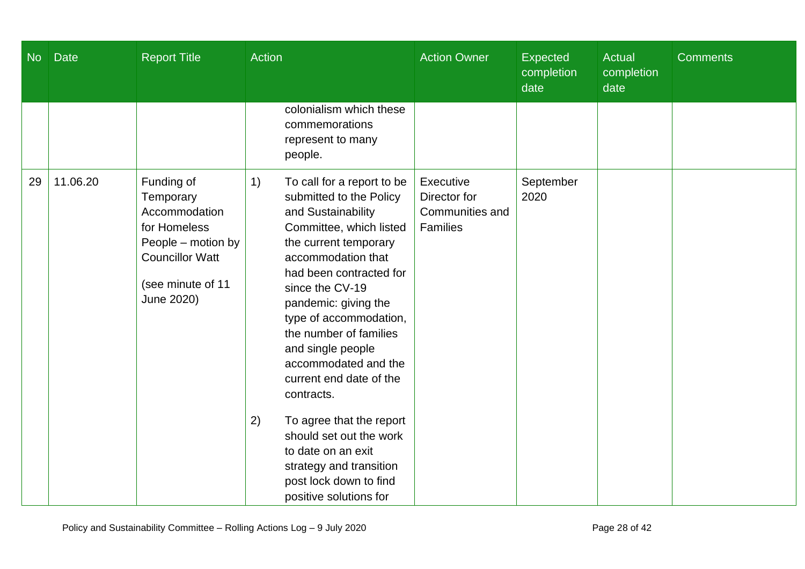| <b>No</b> | <b>Date</b> | <b>Report Title</b>                                                                                                                         | <b>Action</b>                                                                                                                                                                                                                                                                                                                                                                                                                                                                                                                                 | <b>Action Owner</b>                                             | Expected<br>completion<br>date | <b>Actual</b><br>completion<br>date | <b>Comments</b> |
|-----------|-------------|---------------------------------------------------------------------------------------------------------------------------------------------|-----------------------------------------------------------------------------------------------------------------------------------------------------------------------------------------------------------------------------------------------------------------------------------------------------------------------------------------------------------------------------------------------------------------------------------------------------------------------------------------------------------------------------------------------|-----------------------------------------------------------------|--------------------------------|-------------------------------------|-----------------|
|           |             |                                                                                                                                             | colonialism which these<br>commemorations<br>represent to many<br>people.                                                                                                                                                                                                                                                                                                                                                                                                                                                                     |                                                                 |                                |                                     |                 |
| 29        | 11.06.20    | Funding of<br>Temporary<br>Accommodation<br>for Homeless<br>People - motion by<br><b>Councillor Watt</b><br>(see minute of 11<br>June 2020) | To call for a report to be<br>1)<br>submitted to the Policy<br>and Sustainability<br>Committee, which listed<br>the current temporary<br>accommodation that<br>had been contracted for<br>since the CV-19<br>pandemic: giving the<br>type of accommodation,<br>the number of families<br>and single people<br>accommodated and the<br>current end date of the<br>contracts.<br>2)<br>To agree that the report<br>should set out the work<br>to date on an exit<br>strategy and transition<br>post lock down to find<br>positive solutions for | Executive<br>Director for<br>Communities and<br><b>Families</b> | September<br>2020              |                                     |                 |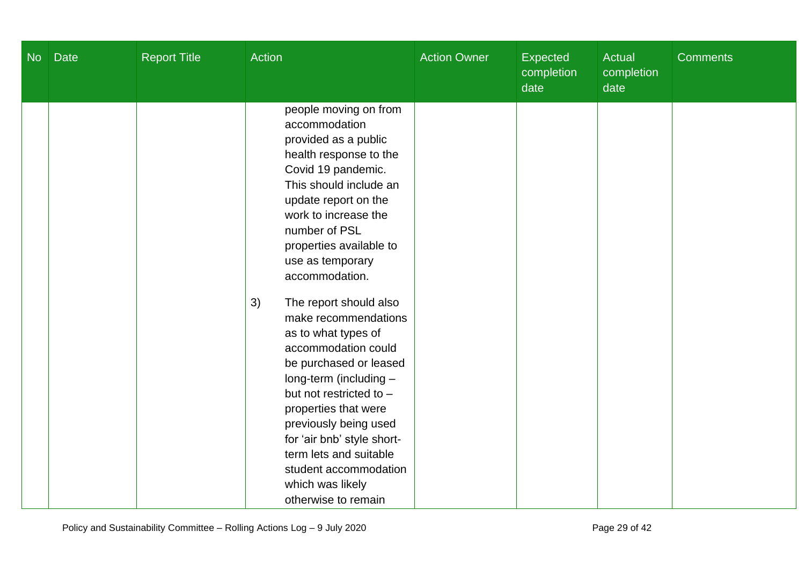| <b>No</b> | <b>Date</b> | <b>Report Title</b> | <b>Action</b>                                                                                                                                                                                                                                                                                                                                                                                                                                                                                                                                                                                                                                | <b>Action Owner</b> | <b>Expected</b><br>completion<br>date | Actual<br>completion<br>date | <b>Comments</b> |
|-----------|-------------|---------------------|----------------------------------------------------------------------------------------------------------------------------------------------------------------------------------------------------------------------------------------------------------------------------------------------------------------------------------------------------------------------------------------------------------------------------------------------------------------------------------------------------------------------------------------------------------------------------------------------------------------------------------------------|---------------------|---------------------------------------|------------------------------|-----------------|
|           |             |                     | people moving on from<br>accommodation<br>provided as a public<br>health response to the<br>Covid 19 pandemic.<br>This should include an<br>update report on the<br>work to increase the<br>number of PSL<br>properties available to<br>use as temporary<br>accommodation.<br>The report should also<br>3)<br>make recommendations<br>as to what types of<br>accommodation could<br>be purchased or leased<br>long-term (including -<br>but not restricted to -<br>properties that were<br>previously being used<br>for 'air bnb' style short-<br>term lets and suitable<br>student accommodation<br>which was likely<br>otherwise to remain |                     |                                       |                              |                 |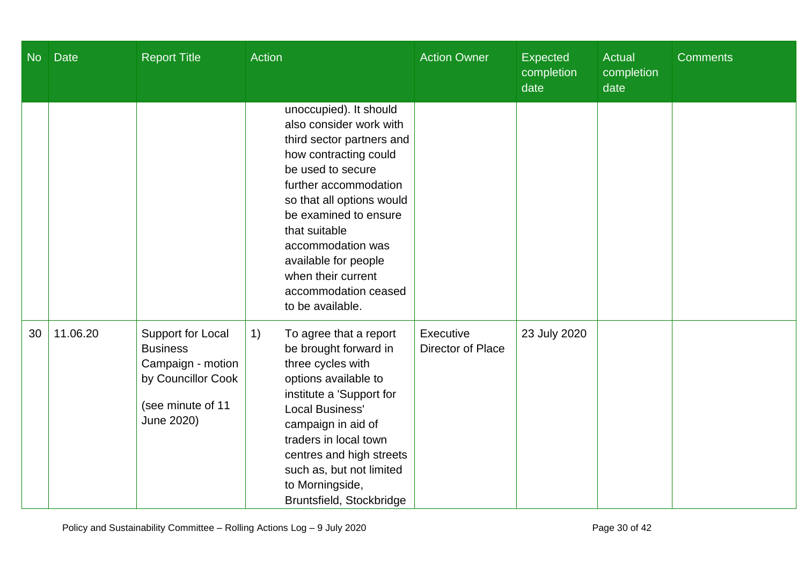| <b>No</b> | <b>Date</b> | <b>Report Title</b>                                                                                                | <b>Action</b>                                                                                                                                                                                                                                                                                                                               | <b>Action Owner</b>            | <b>Expected</b><br>completion<br>date | Actual<br>completion<br>date | <b>Comments</b> |
|-----------|-------------|--------------------------------------------------------------------------------------------------------------------|---------------------------------------------------------------------------------------------------------------------------------------------------------------------------------------------------------------------------------------------------------------------------------------------------------------------------------------------|--------------------------------|---------------------------------------|------------------------------|-----------------|
|           |             |                                                                                                                    | unoccupied). It should<br>also consider work with<br>third sector partners and<br>how contracting could<br>be used to secure<br>further accommodation<br>so that all options would<br>be examined to ensure<br>that suitable<br>accommodation was<br>available for people<br>when their current<br>accommodation ceased<br>to be available. |                                |                                       |                              |                 |
| 30        | 11.06.20    | Support for Local<br><b>Business</b><br>Campaign - motion<br>by Councillor Cook<br>(see minute of 11<br>June 2020) | 1)<br>To agree that a report<br>be brought forward in<br>three cycles with<br>options available to<br>institute a 'Support for<br>Local Business'<br>campaign in aid of<br>traders in local town<br>centres and high streets<br>such as, but not limited<br>to Morningside,<br>Bruntsfield, Stockbridge                                     | Executive<br>Director of Place | 23 July 2020                          |                              |                 |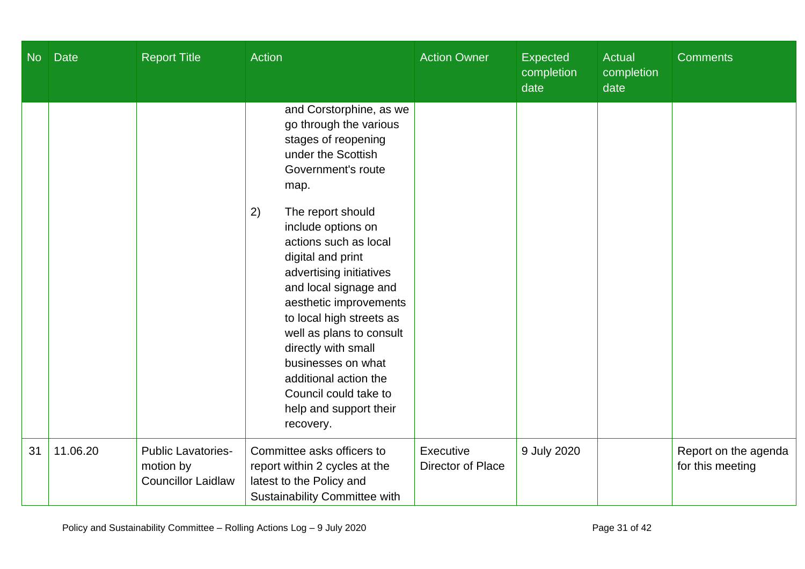| <b>No</b> | <b>Date</b> | <b>Report Title</b>                                                 | <b>Action</b>                                                                                                                                                                                                                                                                                                                                                                                                                                                                                           | <b>Action Owner</b>            | <b>Expected</b><br>completion<br>date | Actual<br>completion<br>date | <b>Comments</b>                          |
|-----------|-------------|---------------------------------------------------------------------|---------------------------------------------------------------------------------------------------------------------------------------------------------------------------------------------------------------------------------------------------------------------------------------------------------------------------------------------------------------------------------------------------------------------------------------------------------------------------------------------------------|--------------------------------|---------------------------------------|------------------------------|------------------------------------------|
|           |             |                                                                     | and Corstorphine, as we<br>go through the various<br>stages of reopening<br>under the Scottish<br>Government's route<br>map.<br>2)<br>The report should<br>include options on<br>actions such as local<br>digital and print<br>advertising initiatives<br>and local signage and<br>aesthetic improvements<br>to local high streets as<br>well as plans to consult<br>directly with small<br>businesses on what<br>additional action the<br>Council could take to<br>help and support their<br>recovery. |                                |                                       |                              |                                          |
| 31        | 11.06.20    | <b>Public Lavatories-</b><br>motion by<br><b>Councillor Laidlaw</b> | Committee asks officers to<br>report within 2 cycles at the<br>latest to the Policy and<br>Sustainability Committee with                                                                                                                                                                                                                                                                                                                                                                                | Executive<br>Director of Place | 9 July 2020                           |                              | Report on the agenda<br>for this meeting |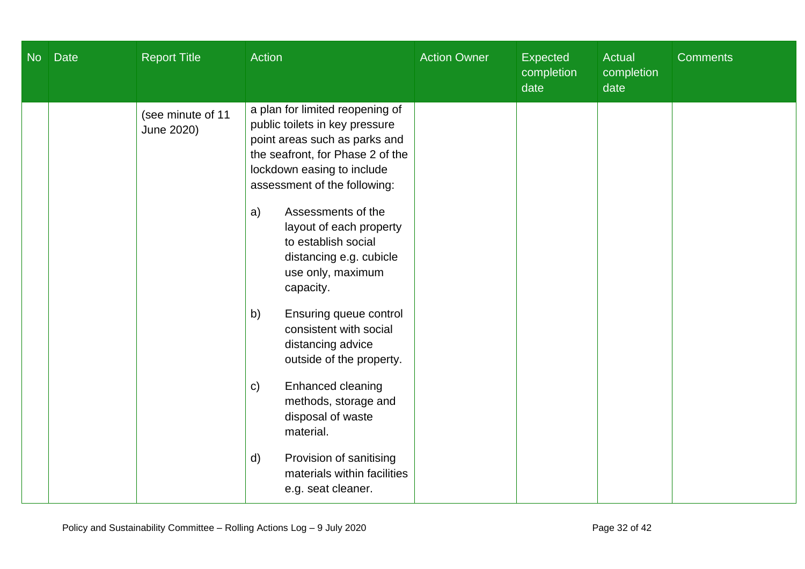| <b>No</b> | <b>Date</b> | <b>Report Title</b>             | <b>Action</b>                                                                                                                                                                                        | <b>Action Owner</b> | <b>Expected</b><br>completion<br>date | Actual<br>completion<br>date | <b>Comments</b> |
|-----------|-------------|---------------------------------|------------------------------------------------------------------------------------------------------------------------------------------------------------------------------------------------------|---------------------|---------------------------------------|------------------------------|-----------------|
|           |             | (see minute of 11<br>June 2020) | a plan for limited reopening of<br>public toilets in key pressure<br>point areas such as parks and<br>the seafront, for Phase 2 of the<br>lockdown easing to include<br>assessment of the following: |                     |                                       |                              |                 |
|           |             |                                 | Assessments of the<br>a)<br>layout of each property<br>to establish social<br>distancing e.g. cubicle<br>use only, maximum<br>capacity.                                                              |                     |                                       |                              |                 |
|           |             |                                 | Ensuring queue control<br>b)<br>consistent with social<br>distancing advice<br>outside of the property.                                                                                              |                     |                                       |                              |                 |
|           |             |                                 | Enhanced cleaning<br>$\mathsf{C}$<br>methods, storage and<br>disposal of waste<br>material.                                                                                                          |                     |                                       |                              |                 |
|           |             |                                 | Provision of sanitising<br>$\mathsf{d}$<br>materials within facilities<br>e.g. seat cleaner.                                                                                                         |                     |                                       |                              |                 |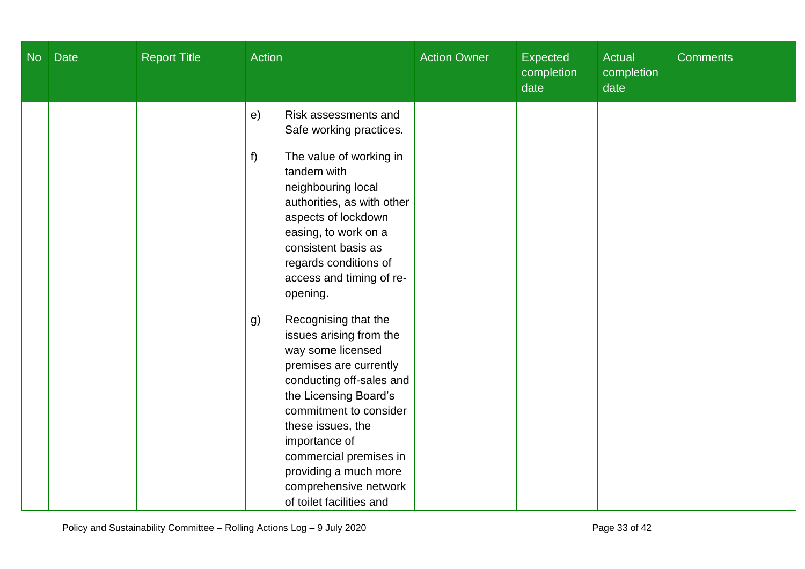| No | <b>Date</b> | <b>Report Title</b> | Action                                                                                                                                                                                                                                                                                                                            | <b>Action Owner</b> | Expected<br>completion<br>date | Actual<br>completion<br>date | <b>Comments</b> |
|----|-------------|---------------------|-----------------------------------------------------------------------------------------------------------------------------------------------------------------------------------------------------------------------------------------------------------------------------------------------------------------------------------|---------------------|--------------------------------|------------------------------|-----------------|
|    |             |                     | Risk assessments and<br>e)<br>Safe working practices.<br>The value of working in<br>f<br>tandem with<br>neighbouring local<br>authorities, as with other<br>aspects of lockdown<br>easing, to work on a<br>consistent basis as<br>regards conditions of<br>access and timing of re-<br>opening.                                   |                     |                                |                              |                 |
|    |             |                     | Recognising that the<br>g)<br>issues arising from the<br>way some licensed<br>premises are currently<br>conducting off-sales and<br>the Licensing Board's<br>commitment to consider<br>these issues, the<br>importance of<br>commercial premises in<br>providing a much more<br>comprehensive network<br>of toilet facilities and |                     |                                |                              |                 |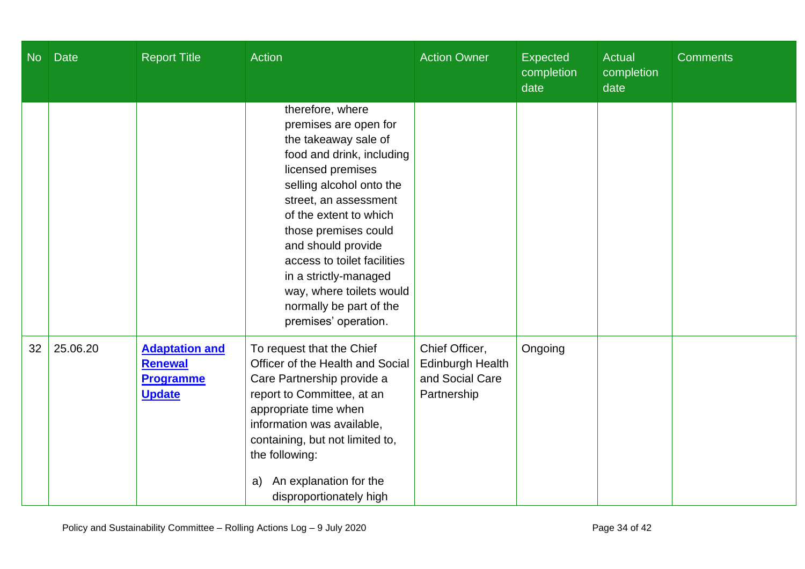| <b>No</b> | <b>Date</b> | <b>Report Title</b>                                                          | Action                                                                                                                                                                                                                                                                                                                                                                                  | <b>Action Owner</b>                                                         | <b>Expected</b><br>completion<br>date | <b>Actual</b><br>completion<br>date | <b>Comments</b> |
|-----------|-------------|------------------------------------------------------------------------------|-----------------------------------------------------------------------------------------------------------------------------------------------------------------------------------------------------------------------------------------------------------------------------------------------------------------------------------------------------------------------------------------|-----------------------------------------------------------------------------|---------------------------------------|-------------------------------------|-----------------|
|           |             |                                                                              | therefore, where<br>premises are open for<br>the takeaway sale of<br>food and drink, including<br>licensed premises<br>selling alcohol onto the<br>street, an assessment<br>of the extent to which<br>those premises could<br>and should provide<br>access to toilet facilities<br>in a strictly-managed<br>way, where toilets would<br>normally be part of the<br>premises' operation. |                                                                             |                                       |                                     |                 |
| 32        | 25.06.20    | <b>Adaptation and</b><br><b>Renewal</b><br><b>Programme</b><br><b>Update</b> | To request that the Chief<br>Officer of the Health and Social<br>Care Partnership provide a<br>report to Committee, at an<br>appropriate time when<br>information was available,<br>containing, but not limited to,<br>the following:<br>An explanation for the<br>a)<br>disproportionately high                                                                                        | Chief Officer,<br><b>Edinburgh Health</b><br>and Social Care<br>Partnership | Ongoing                               |                                     |                 |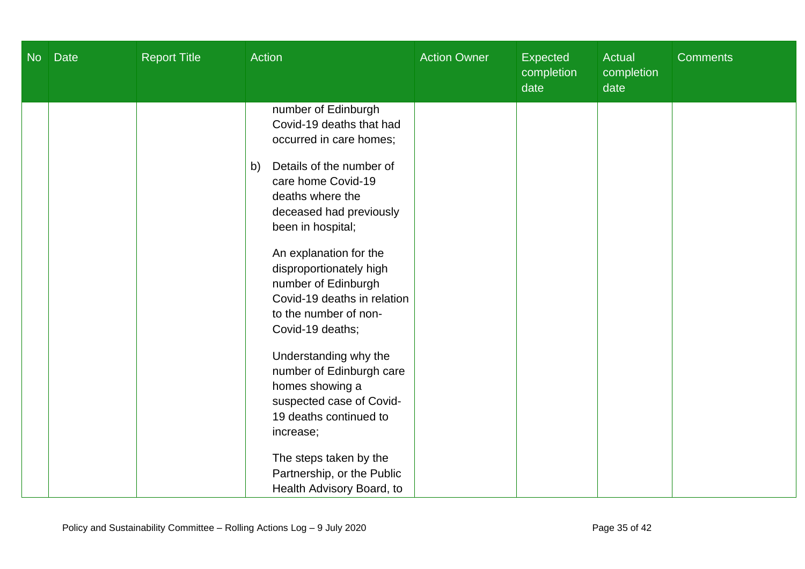| <b>No</b> | <b>Date</b> | <b>Report Title</b> | <b>Action</b>                                                                                                                                                                                                                                                                                                                                                  | <b>Action Owner</b> | <b>Expected</b><br>completion<br>date | Actual<br>completion<br>date | <b>Comments</b> |
|-----------|-------------|---------------------|----------------------------------------------------------------------------------------------------------------------------------------------------------------------------------------------------------------------------------------------------------------------------------------------------------------------------------------------------------------|---------------------|---------------------------------------|------------------------------|-----------------|
|           |             |                     | number of Edinburgh<br>Covid-19 deaths that had<br>occurred in care homes;<br>Details of the number of<br>b)<br>care home Covid-19<br>deaths where the<br>deceased had previously<br>been in hospital;<br>An explanation for the<br>disproportionately high<br>number of Edinburgh<br>Covid-19 deaths in relation<br>to the number of non-<br>Covid-19 deaths; |                     |                                       |                              |                 |
|           |             |                     | Understanding why the<br>number of Edinburgh care<br>homes showing a<br>suspected case of Covid-<br>19 deaths continued to<br>increase;<br>The steps taken by the<br>Partnership, or the Public<br>Health Advisory Board, to                                                                                                                                   |                     |                                       |                              |                 |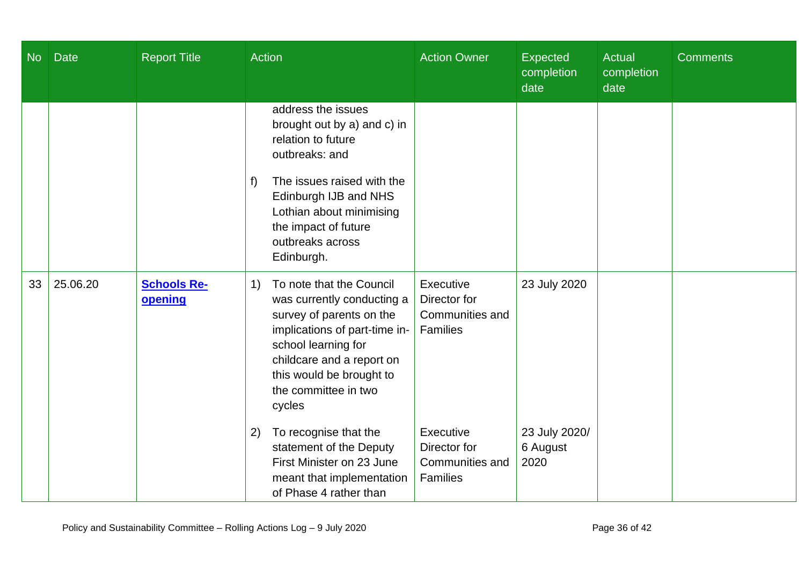| <b>No</b> | <b>Date</b> | <b>Report Title</b>           | Action                                                                                                                                                                                                                                       | <b>Action Owner</b>                                      | <b>Expected</b><br>completion<br>date | Actual<br>completion<br>date | <b>Comments</b> |
|-----------|-------------|-------------------------------|----------------------------------------------------------------------------------------------------------------------------------------------------------------------------------------------------------------------------------------------|----------------------------------------------------------|---------------------------------------|------------------------------|-----------------|
|           |             |                               | address the issues<br>brought out by a) and c) in<br>relation to future<br>outbreaks: and<br>The issues raised with the<br>f)<br>Edinburgh IJB and NHS<br>Lothian about minimising<br>the impact of future<br>outbreaks across<br>Edinburgh. |                                                          |                                       |                              |                 |
| 33        | 25.06.20    | <b>Schools Re-</b><br>opening | To note that the Council<br>1)<br>was currently conducting a<br>survey of parents on the<br>implications of part-time in-<br>school learning for<br>childcare and a report on<br>this would be brought to<br>the committee in two<br>cycles  | Executive<br>Director for<br>Communities and<br>Families | 23 July 2020                          |                              |                 |
|           |             |                               | To recognise that the<br>2)<br>statement of the Deputy<br>First Minister on 23 June<br>meant that implementation<br>of Phase 4 rather than                                                                                                   | Executive<br>Director for<br>Communities and<br>Families | 23 July 2020/<br>6 August<br>2020     |                              |                 |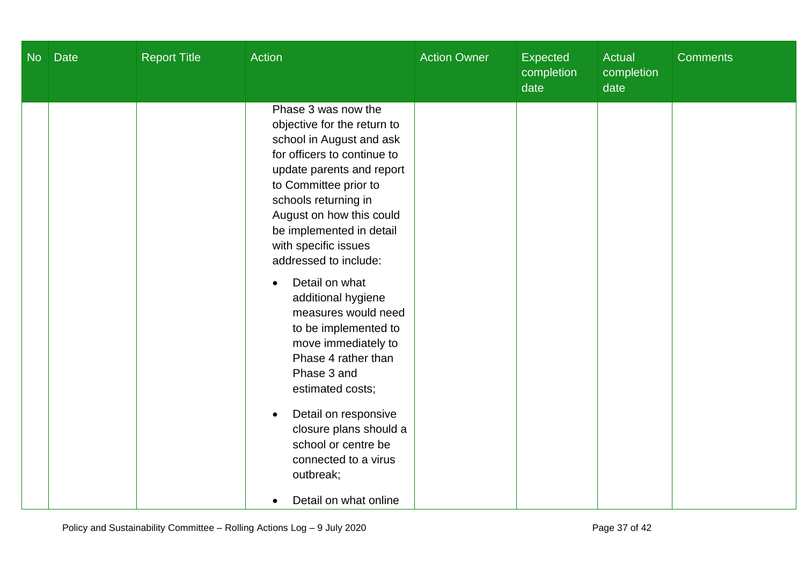| No | <b>Date</b> | <b>Report Title</b> | Action                                                                                                                                                                                                                                                                                                       | <b>Action Owner</b> | Expected<br>completion<br>date | Actual<br>completion<br>date | <b>Comments</b> |
|----|-------------|---------------------|--------------------------------------------------------------------------------------------------------------------------------------------------------------------------------------------------------------------------------------------------------------------------------------------------------------|---------------------|--------------------------------|------------------------------|-----------------|
|    |             |                     | Phase 3 was now the<br>objective for the return to<br>school in August and ask<br>for officers to continue to<br>update parents and report<br>to Committee prior to<br>schools returning in<br>August on how this could<br>be implemented in detail<br>with specific issues<br>addressed to include:         |                     |                                |                              |                 |
|    |             |                     | Detail on what<br>$\bullet$<br>additional hygiene<br>measures would need<br>to be implemented to<br>move immediately to<br>Phase 4 rather than<br>Phase 3 and<br>estimated costs;<br>Detail on responsive<br>$\bullet$<br>closure plans should a<br>school or centre be<br>connected to a virus<br>outbreak; |                     |                                |                              |                 |
|    |             |                     | Detail on what online                                                                                                                                                                                                                                                                                        |                     |                                |                              |                 |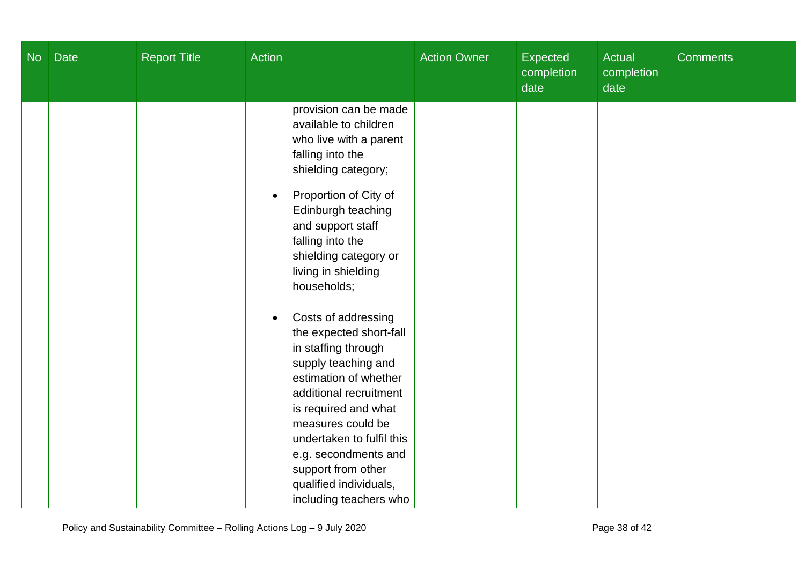| <b>No</b> | <b>Date</b> | <b>Report Title</b> | <b>Action</b>                                                                                                                                                                                                                                                                                                               | <b>Action Owner</b> | Expected<br>completion<br>date | <b>Actual</b><br>completion<br>date | <b>Comments</b> |
|-----------|-------------|---------------------|-----------------------------------------------------------------------------------------------------------------------------------------------------------------------------------------------------------------------------------------------------------------------------------------------------------------------------|---------------------|--------------------------------|-------------------------------------|-----------------|
|           |             |                     | provision can be made<br>available to children<br>who live with a parent<br>falling into the<br>shielding category;<br>Proportion of City of<br>$\bullet$<br>Edinburgh teaching<br>and support staff<br>falling into the<br>shielding category or<br>living in shielding<br>households;                                     |                     |                                |                                     |                 |
|           |             |                     | Costs of addressing<br>the expected short-fall<br>in staffing through<br>supply teaching and<br>estimation of whether<br>additional recruitment<br>is required and what<br>measures could be<br>undertaken to fulfil this<br>e.g. secondments and<br>support from other<br>qualified individuals,<br>including teachers who |                     |                                |                                     |                 |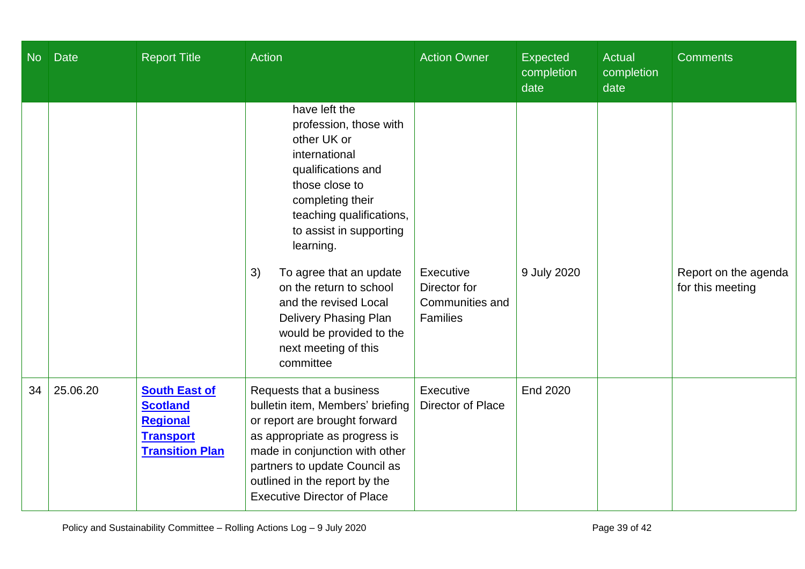| No | <b>Date</b> | <b>Report Title</b>                                                                                      | <b>Action</b>                                                                                                                                                                                                                                                                                                                                                                                 | <b>Action Owner</b>                                             | Expected<br>completion<br>date | <b>Actual</b><br>completion<br>date | <b>Comments</b>                          |
|----|-------------|----------------------------------------------------------------------------------------------------------|-----------------------------------------------------------------------------------------------------------------------------------------------------------------------------------------------------------------------------------------------------------------------------------------------------------------------------------------------------------------------------------------------|-----------------------------------------------------------------|--------------------------------|-------------------------------------|------------------------------------------|
|    |             |                                                                                                          | have left the<br>profession, those with<br>other UK or<br>international<br>qualifications and<br>those close to<br>completing their<br>teaching qualifications,<br>to assist in supporting<br>learning.<br>3)<br>To agree that an update<br>on the return to school<br>and the revised Local<br><b>Delivery Phasing Plan</b><br>would be provided to the<br>next meeting of this<br>committee | Executive<br>Director for<br>Communities and<br><b>Families</b> | 9 July 2020                    |                                     | Report on the agenda<br>for this meeting |
| 34 | 25.06.20    | <b>South East of</b><br><b>Scotland</b><br><b>Regional</b><br><b>Transport</b><br><b>Transition Plan</b> | Requests that a business<br>bulletin item, Members' briefing<br>or report are brought forward<br>as appropriate as progress is<br>made in conjunction with other<br>partners to update Council as<br>outlined in the report by the<br><b>Executive Director of Place</b>                                                                                                                      | Executive<br>Director of Place                                  | End 2020                       |                                     |                                          |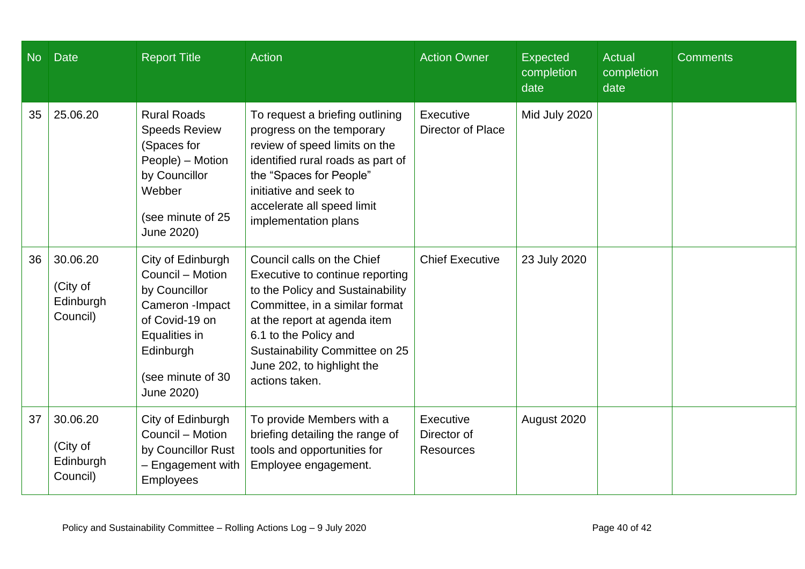| N <sub>o</sub> | <b>Date</b>                                   | <b>Report Title</b>                                                                                                                                           | <b>Action</b>                                                                                                                                                                                                                                                                  | <b>Action Owner</b>                          | <b>Expected</b><br>completion<br>date | <b>Actual</b><br>completion<br>date | <b>Comments</b> |
|----------------|-----------------------------------------------|---------------------------------------------------------------------------------------------------------------------------------------------------------------|--------------------------------------------------------------------------------------------------------------------------------------------------------------------------------------------------------------------------------------------------------------------------------|----------------------------------------------|---------------------------------------|-------------------------------------|-----------------|
| 35             | 25.06.20                                      | <b>Rural Roads</b><br><b>Speeds Review</b><br>(Spaces for<br>People) - Motion<br>by Councillor<br>Webber<br>(see minute of 25<br>June 2020)                   | To request a briefing outlining<br>progress on the temporary<br>review of speed limits on the<br>identified rural roads as part of<br>the "Spaces for People"<br>initiative and seek to<br>accelerate all speed limit<br>implementation plans                                  | Executive<br>Director of Place               | Mid July 2020                         |                                     |                 |
| 36             | 30.06.20<br>(City of<br>Edinburgh<br>Council) | City of Edinburgh<br>Council - Motion<br>by Councillor<br>Cameron - Impact<br>of Covid-19 on<br>Equalities in<br>Edinburgh<br>(see minute of 30<br>June 2020) | Council calls on the Chief<br>Executive to continue reporting<br>to the Policy and Sustainability<br>Committee, in a similar format<br>at the report at agenda item<br>6.1 to the Policy and<br>Sustainability Committee on 25<br>June 202, to highlight the<br>actions taken. | <b>Chief Executive</b>                       | 23 July 2020                          |                                     |                 |
| 37             | 30.06.20<br>(City of<br>Edinburgh<br>Council) | City of Edinburgh<br>Council - Motion<br>by Councillor Rust<br>- Engagement with<br><b>Employees</b>                                                          | To provide Members with a<br>briefing detailing the range of<br>tools and opportunities for<br>Employee engagement.                                                                                                                                                            | Executive<br>Director of<br><b>Resources</b> | August 2020                           |                                     |                 |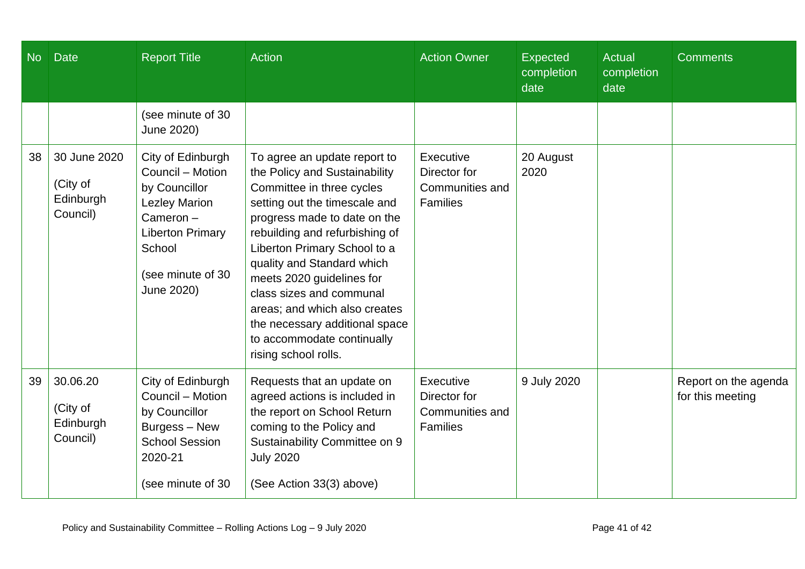| No | <b>Date</b>                                       | <b>Report Title</b>                                                                                                                                                | <b>Action</b>                                                                                                                                                                                                                                                                                                                                                                                                                                 | <b>Action Owner</b>                                             | <b>Expected</b><br>completion<br>date | <b>Actual</b><br>completion<br>date | <b>Comments</b>                          |
|----|---------------------------------------------------|--------------------------------------------------------------------------------------------------------------------------------------------------------------------|-----------------------------------------------------------------------------------------------------------------------------------------------------------------------------------------------------------------------------------------------------------------------------------------------------------------------------------------------------------------------------------------------------------------------------------------------|-----------------------------------------------------------------|---------------------------------------|-------------------------------------|------------------------------------------|
|    |                                                   | (see minute of 30<br>June 2020)                                                                                                                                    |                                                                                                                                                                                                                                                                                                                                                                                                                                               |                                                                 |                                       |                                     |                                          |
| 38 | 30 June 2020<br>(City of<br>Edinburgh<br>Council) | City of Edinburgh<br>Council - Motion<br>by Councillor<br><b>Lezley Marion</b><br>Cameron-<br><b>Liberton Primary</b><br>School<br>(see minute of 30<br>June 2020) | To agree an update report to<br>the Policy and Sustainability<br>Committee in three cycles<br>setting out the timescale and<br>progress made to date on the<br>rebuilding and refurbishing of<br>Liberton Primary School to a<br>quality and Standard which<br>meets 2020 guidelines for<br>class sizes and communal<br>areas; and which also creates<br>the necessary additional space<br>to accommodate continually<br>rising school rolls. | Executive<br>Director for<br>Communities and<br><b>Families</b> | 20 August<br>2020                     |                                     |                                          |
| 39 | 30.06.20<br>(City of<br>Edinburgh<br>Council)     | City of Edinburgh<br>Council - Motion<br>by Councillor<br>Burgess - New<br><b>School Session</b><br>2020-21<br>(see minute of 30)                                  | Requests that an update on<br>agreed actions is included in<br>the report on School Return<br>coming to the Policy and<br>Sustainability Committee on 9<br><b>July 2020</b><br>(See Action 33(3) above)                                                                                                                                                                                                                                       | Executive<br>Director for<br>Communities and<br><b>Families</b> | 9 July 2020                           |                                     | Report on the agenda<br>for this meeting |